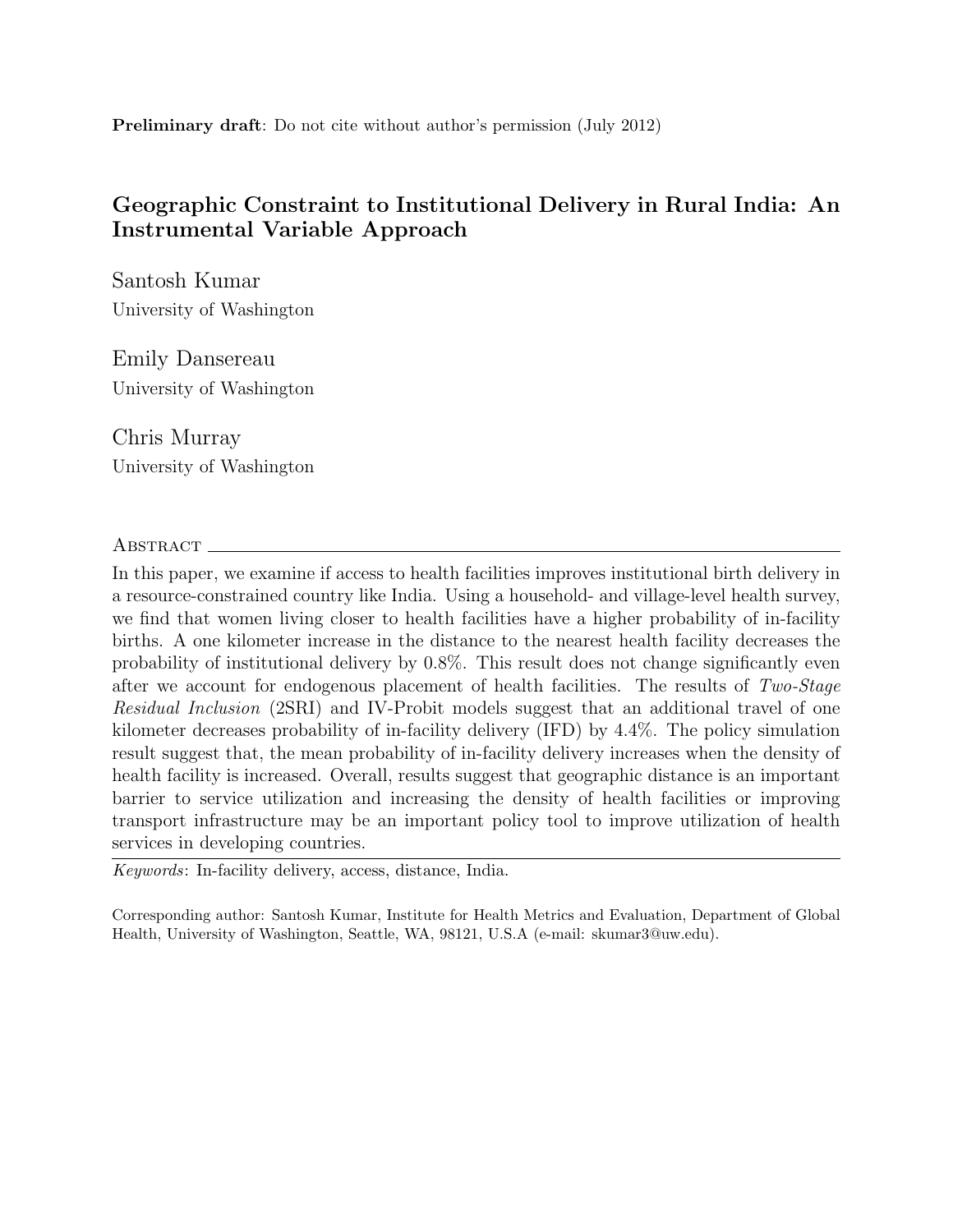Preliminary draft: Do not cite without author's permission (July 2012)

### Geographic Constraint to Institutional Delivery in Rural India: An Instrumental Variable Approach

Santosh Kumar University of Washington

Emily Dansereau University of Washington

Chris Murray University of Washington

#### ABSTRACT\_

In this paper, we examine if access to health facilities improves institutional birth delivery in a resource-constrained country like India. Using a household- and village-level health survey, we find that women living closer to health facilities have a higher probability of in-facility births. A one kilometer increase in the distance to the nearest health facility decreases the probability of institutional delivery by 0.8%. This result does not change significantly even after we account for endogenous placement of health facilities. The results of Two-Stage Residual Inclusion (2SRI) and IV-Probit models suggest that an additional travel of one kilometer decreases probability of in-facility delivery (IFD) by 4.4%. The policy simulation result suggest that, the mean probability of in-facility delivery increases when the density of health facility is increased. Overall, results suggest that geographic distance is an important barrier to service utilization and increasing the density of health facilities or improving transport infrastructure may be an important policy tool to improve utilization of health services in developing countries.

Keywords: In-facility delivery, access, distance, India.

Corresponding author: Santosh Kumar, Institute for Health Metrics and Evaluation, Department of Global Health, University of Washington, Seattle, WA, 98121, U.S.A (e-mail: skumar3@uw.edu).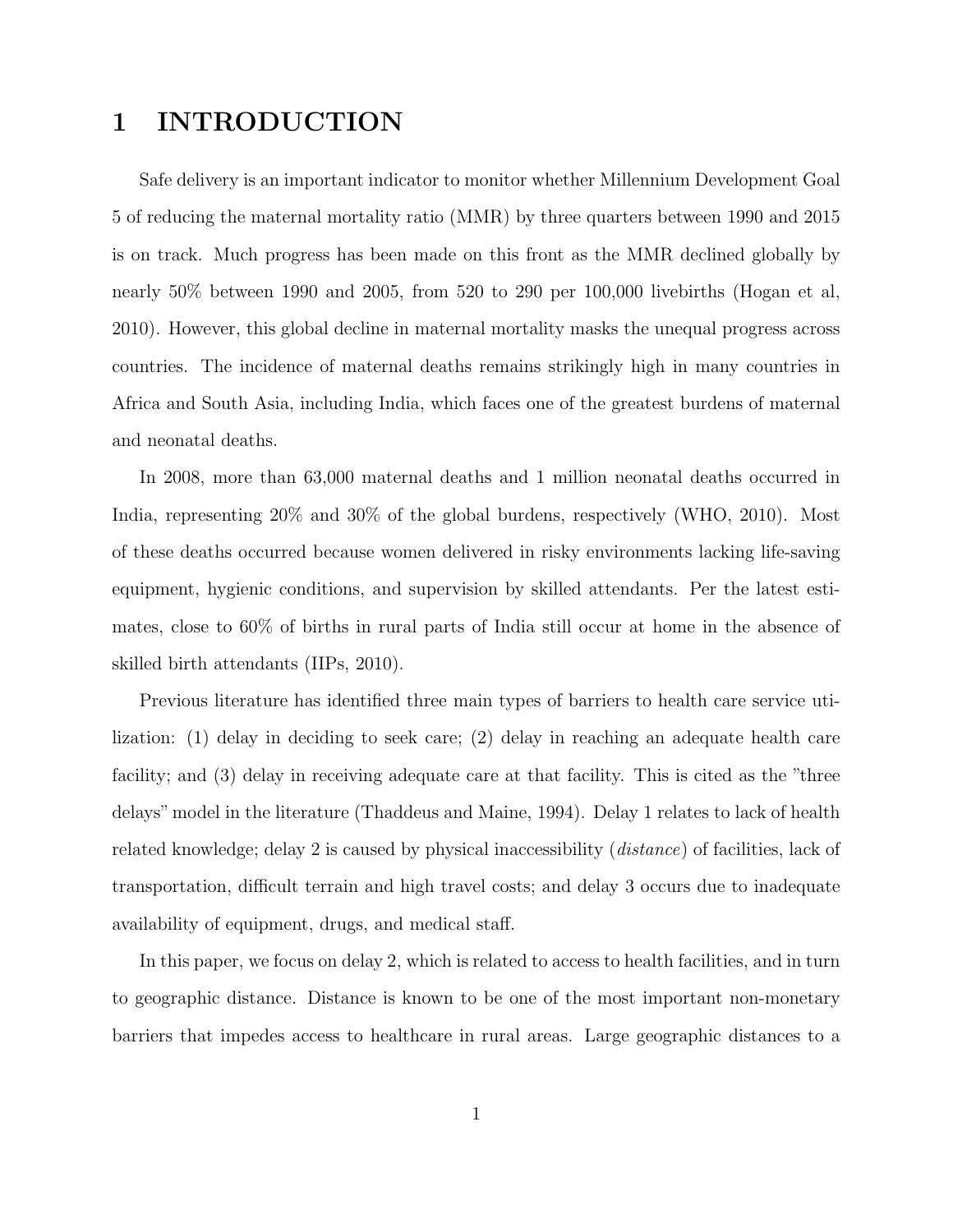## 1 INTRODUCTION

Safe delivery is an important indicator to monitor whether Millennium Development Goal 5 of reducing the maternal mortality ratio (MMR) by three quarters between 1990 and 2015 is on track. Much progress has been made on this front as the MMR declined globally by nearly 50% between 1990 and 2005, from 520 to 290 per 100,000 livebirths (Hogan et al, 2010). However, this global decline in maternal mortality masks the unequal progress across countries. The incidence of maternal deaths remains strikingly high in many countries in Africa and South Asia, including India, which faces one of the greatest burdens of maternal and neonatal deaths.

In 2008, more than 63,000 maternal deaths and 1 million neonatal deaths occurred in India, representing 20% and 30% of the global burdens, respectively (WHO, 2010). Most of these deaths occurred because women delivered in risky environments lacking life-saving equipment, hygienic conditions, and supervision by skilled attendants. Per the latest estimates, close to 60% of births in rural parts of India still occur at home in the absence of skilled birth attendants (IIPs, 2010).

Previous literature has identified three main types of barriers to health care service utilization: (1) delay in deciding to seek care; (2) delay in reaching an adequate health care facility; and (3) delay in receiving adequate care at that facility. This is cited as the "three delays" model in the literature (Thaddeus and Maine, 1994). Delay 1 relates to lack of health related knowledge; delay 2 is caused by physical inaccessibility (distance) of facilities, lack of transportation, difficult terrain and high travel costs; and delay 3 occurs due to inadequate availability of equipment, drugs, and medical staff.

In this paper, we focus on delay 2, which is related to access to health facilities, and in turn to geographic distance. Distance is known to be one of the most important non-monetary barriers that impedes access to healthcare in rural areas. Large geographic distances to a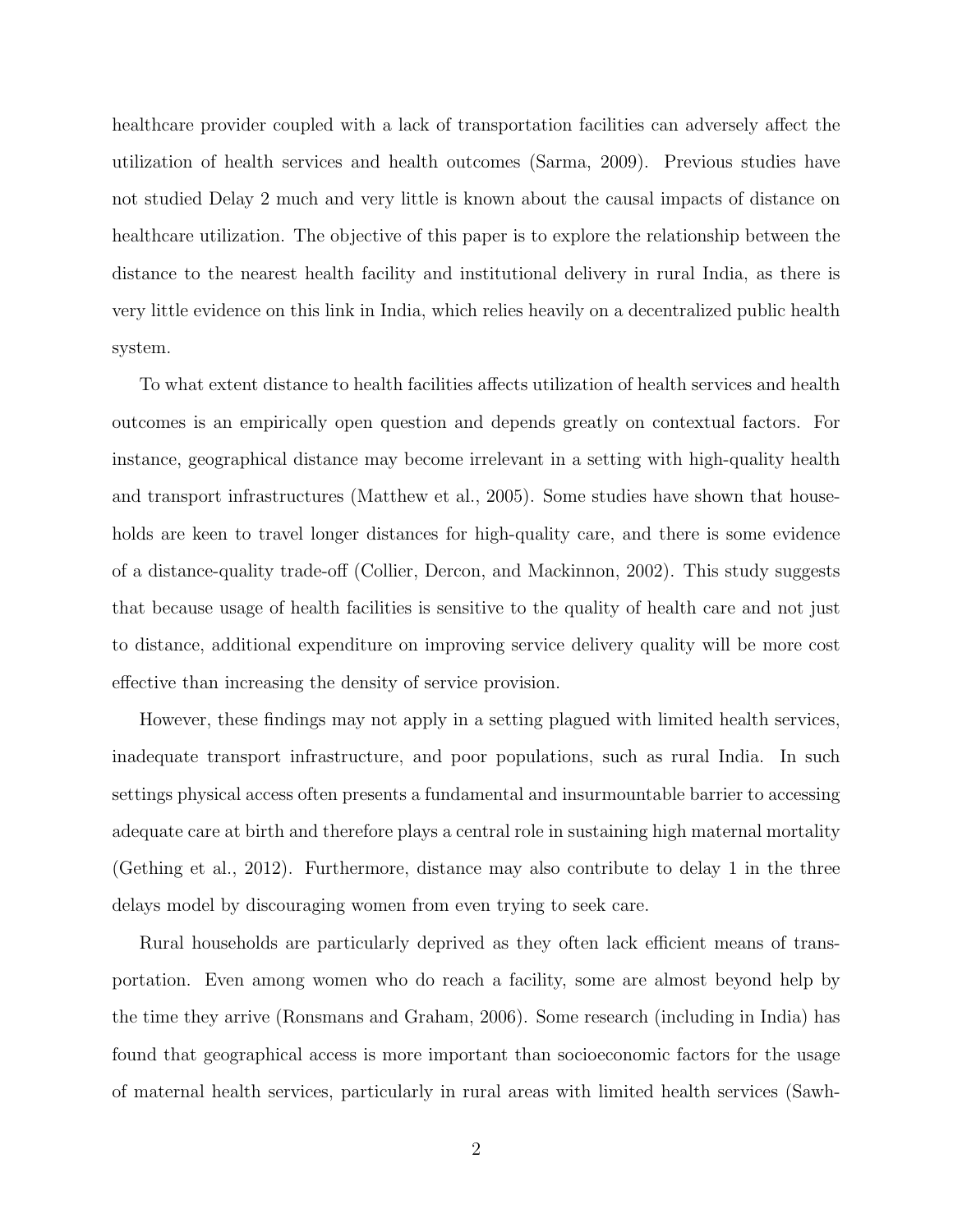healthcare provider coupled with a lack of transportation facilities can adversely affect the utilization of health services and health outcomes (Sarma, 2009). Previous studies have not studied Delay 2 much and very little is known about the causal impacts of distance on healthcare utilization. The objective of this paper is to explore the relationship between the distance to the nearest health facility and institutional delivery in rural India, as there is very little evidence on this link in India, which relies heavily on a decentralized public health system.

To what extent distance to health facilities affects utilization of health services and health outcomes is an empirically open question and depends greatly on contextual factors. For instance, geographical distance may become irrelevant in a setting with high-quality health and transport infrastructures (Matthew et al., 2005). Some studies have shown that households are keen to travel longer distances for high-quality care, and there is some evidence of a distance-quality trade-off (Collier, Dercon, and Mackinnon, 2002). This study suggests that because usage of health facilities is sensitive to the quality of health care and not just to distance, additional expenditure on improving service delivery quality will be more cost effective than increasing the density of service provision.

However, these findings may not apply in a setting plagued with limited health services, inadequate transport infrastructure, and poor populations, such as rural India. In such settings physical access often presents a fundamental and insurmountable barrier to accessing adequate care at birth and therefore plays a central role in sustaining high maternal mortality (Gething et al., 2012). Furthermore, distance may also contribute to delay 1 in the three delays model by discouraging women from even trying to seek care.

Rural households are particularly deprived as they often lack efficient means of transportation. Even among women who do reach a facility, some are almost beyond help by the time they arrive (Ronsmans and Graham, 2006). Some research (including in India) has found that geographical access is more important than socioeconomic factors for the usage of maternal health services, particularly in rural areas with limited health services (Sawh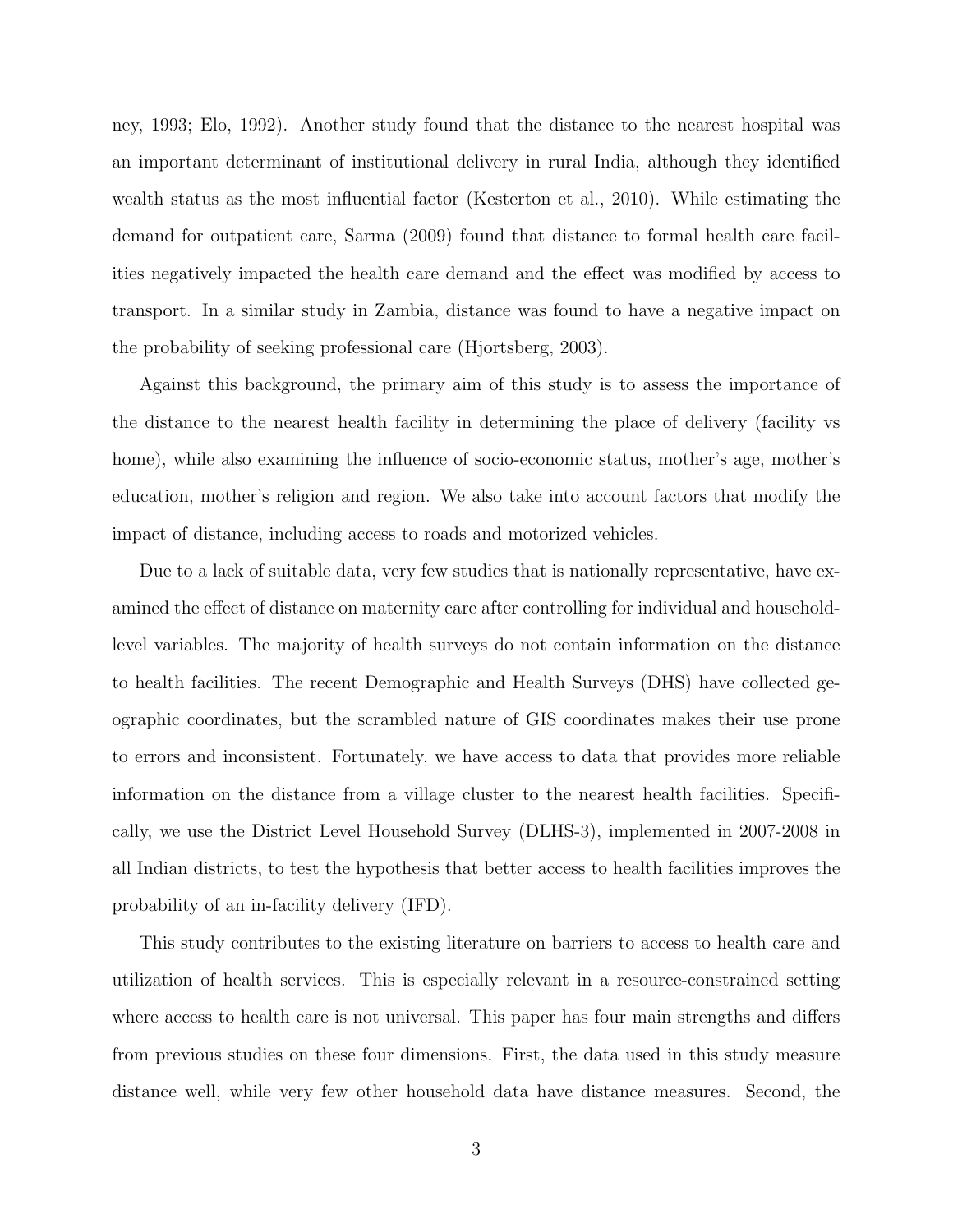ney, 1993; Elo, 1992). Another study found that the distance to the nearest hospital was an important determinant of institutional delivery in rural India, although they identified wealth status as the most influential factor (Kesterton et al., 2010). While estimating the demand for outpatient care, Sarma (2009) found that distance to formal health care facilities negatively impacted the health care demand and the effect was modified by access to transport. In a similar study in Zambia, distance was found to have a negative impact on the probability of seeking professional care (Hjortsberg, 2003).

Against this background, the primary aim of this study is to assess the importance of the distance to the nearest health facility in determining the place of delivery (facility vs home), while also examining the influence of socio-economic status, mother's age, mother's education, mother's religion and region. We also take into account factors that modify the impact of distance, including access to roads and motorized vehicles.

Due to a lack of suitable data, very few studies that is nationally representative, have examined the effect of distance on maternity care after controlling for individual and householdlevel variables. The majority of health surveys do not contain information on the distance to health facilities. The recent Demographic and Health Surveys (DHS) have collected geographic coordinates, but the scrambled nature of GIS coordinates makes their use prone to errors and inconsistent. Fortunately, we have access to data that provides more reliable information on the distance from a village cluster to the nearest health facilities. Specifically, we use the District Level Household Survey (DLHS-3), implemented in 2007-2008 in all Indian districts, to test the hypothesis that better access to health facilities improves the probability of an in-facility delivery (IFD).

This study contributes to the existing literature on barriers to access to health care and utilization of health services. This is especially relevant in a resource-constrained setting where access to health care is not universal. This paper has four main strengths and differs from previous studies on these four dimensions. First, the data used in this study measure distance well, while very few other household data have distance measures. Second, the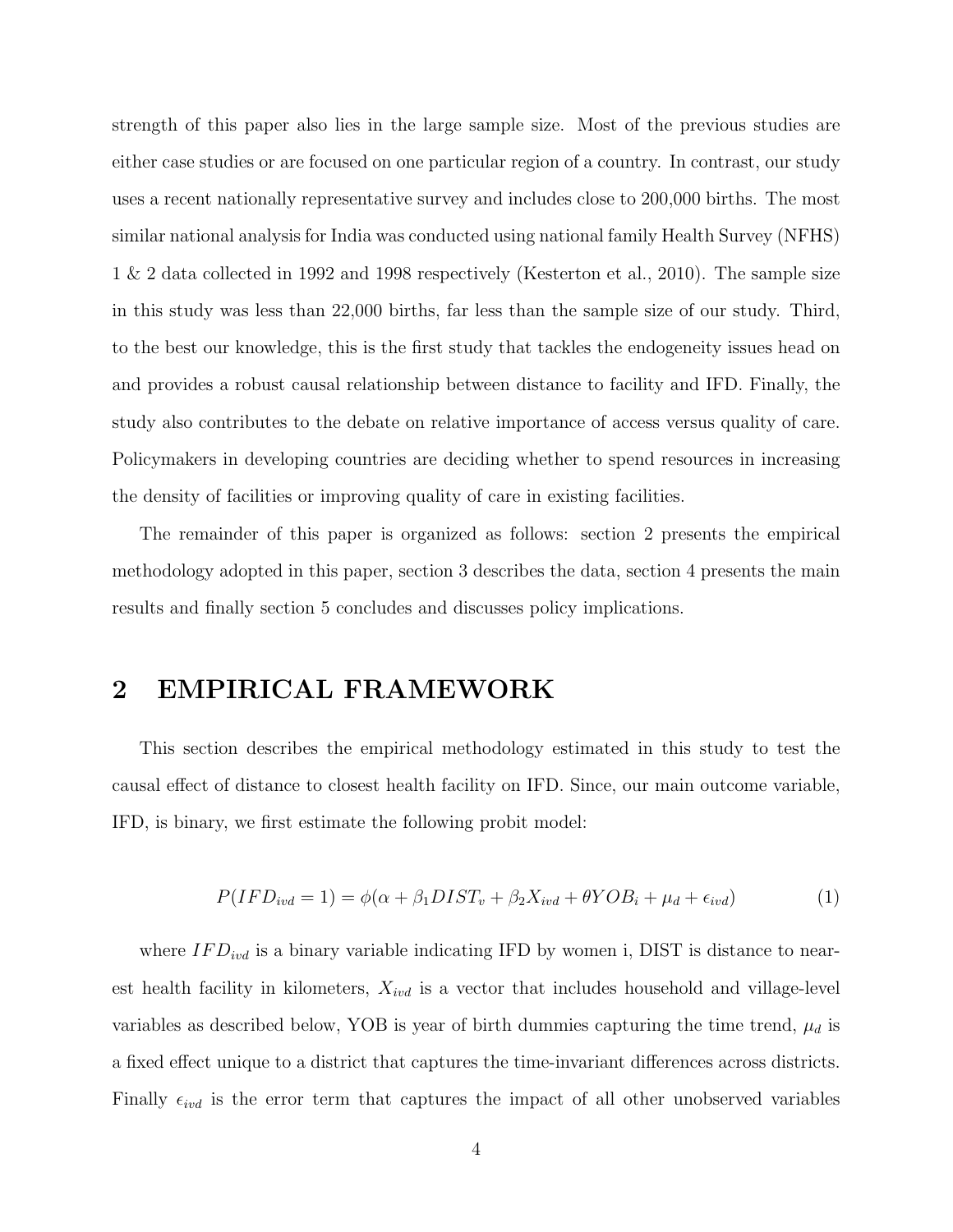strength of this paper also lies in the large sample size. Most of the previous studies are either case studies or are focused on one particular region of a country. In contrast, our study uses a recent nationally representative survey and includes close to 200,000 births. The most similar national analysis for India was conducted using national family Health Survey (NFHS) 1 & 2 data collected in 1992 and 1998 respectively (Kesterton et al., 2010). The sample size in this study was less than 22,000 births, far less than the sample size of our study. Third, to the best our knowledge, this is the first study that tackles the endogeneity issues head on and provides a robust causal relationship between distance to facility and IFD. Finally, the study also contributes to the debate on relative importance of access versus quality of care. Policymakers in developing countries are deciding whether to spend resources in increasing the density of facilities or improving quality of care in existing facilities.

The remainder of this paper is organized as follows: section 2 presents the empirical methodology adopted in this paper, section 3 describes the data, section 4 presents the main results and finally section 5 concludes and discusses policy implications.

# 2 EMPIRICAL FRAMEWORK

This section describes the empirical methodology estimated in this study to test the causal effect of distance to closest health facility on IFD. Since, our main outcome variable, IFD, is binary, we first estimate the following probit model:

$$
P(IFD_{ivd} = 1) = \phi(\alpha + \beta_1 DIST_v + \beta_2 X_{ivd} + \theta YOB_i + \mu_d + \epsilon_{ivd})
$$
\n(1)

where  $IFD_{ivd}$  is a binary variable indicating IFD by women i, DIST is distance to nearest health facility in kilometers,  $X_{i\alpha}$  is a vector that includes household and village-level variables as described below, YOB is year of birth dummies capturing the time trend,  $\mu_d$  is a fixed effect unique to a district that captures the time-invariant differences across districts. Finally  $\epsilon_{ivd}$  is the error term that captures the impact of all other unobserved variables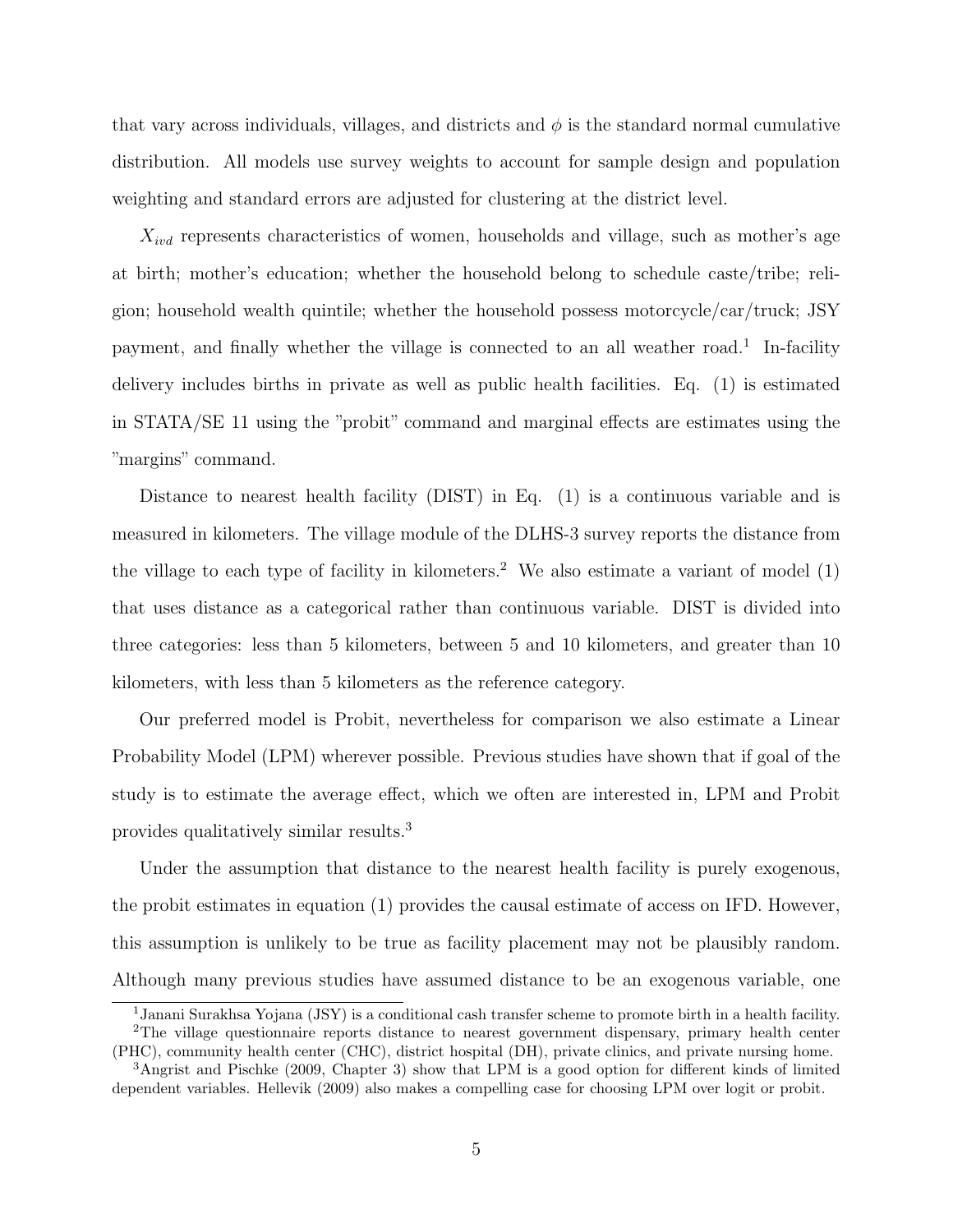that vary across individuals, villages, and districts and  $\phi$  is the standard normal cumulative distribution. All models use survey weights to account for sample design and population weighting and standard errors are adjusted for clustering at the district level.

 $X_{ivd}$  represents characteristics of women, households and village, such as mother's age at birth; mother's education; whether the household belong to schedule caste/tribe; religion; household wealth quintile; whether the household possess motorcycle/car/truck; JSY payment, and finally whether the village is connected to an all weather road.<sup>1</sup> In-facility delivery includes births in private as well as public health facilities. Eq. (1) is estimated in STATA/SE 11 using the "probit" command and marginal effects are estimates using the "margins" command.

Distance to nearest health facility (DIST) in Eq. (1) is a continuous variable and is measured in kilometers. The village module of the DLHS-3 survey reports the distance from the village to each type of facility in kilometers.<sup>2</sup> We also estimate a variant of model  $(1)$ that uses distance as a categorical rather than continuous variable. DIST is divided into three categories: less than 5 kilometers, between 5 and 10 kilometers, and greater than 10 kilometers, with less than 5 kilometers as the reference category.

Our preferred model is Probit, nevertheless for comparison we also estimate a Linear Probability Model (LPM) wherever possible. Previous studies have shown that if goal of the study is to estimate the average effect, which we often are interested in, LPM and Probit provides qualitatively similar results.<sup>3</sup>

Under the assumption that distance to the nearest health facility is purely exogenous, the probit estimates in equation (1) provides the causal estimate of access on IFD. However, this assumption is unlikely to be true as facility placement may not be plausibly random. Although many previous studies have assumed distance to be an exogenous variable, one

<sup>&</sup>lt;sup>1</sup>Janani Surakhsa Yojana (JSY) is a conditional cash transfer scheme to promote birth in a health facility. <sup>2</sup>The village questionnaire reports distance to nearest government dispensary, primary health center

<sup>(</sup>PHC), community health center (CHC), district hospital (DH), private clinics, and private nursing home. <sup>3</sup>Angrist and Pischke (2009, Chapter 3) show that LPM is a good option for different kinds of limited

dependent variables. Hellevik (2009) also makes a compelling case for choosing LPM over logit or probit.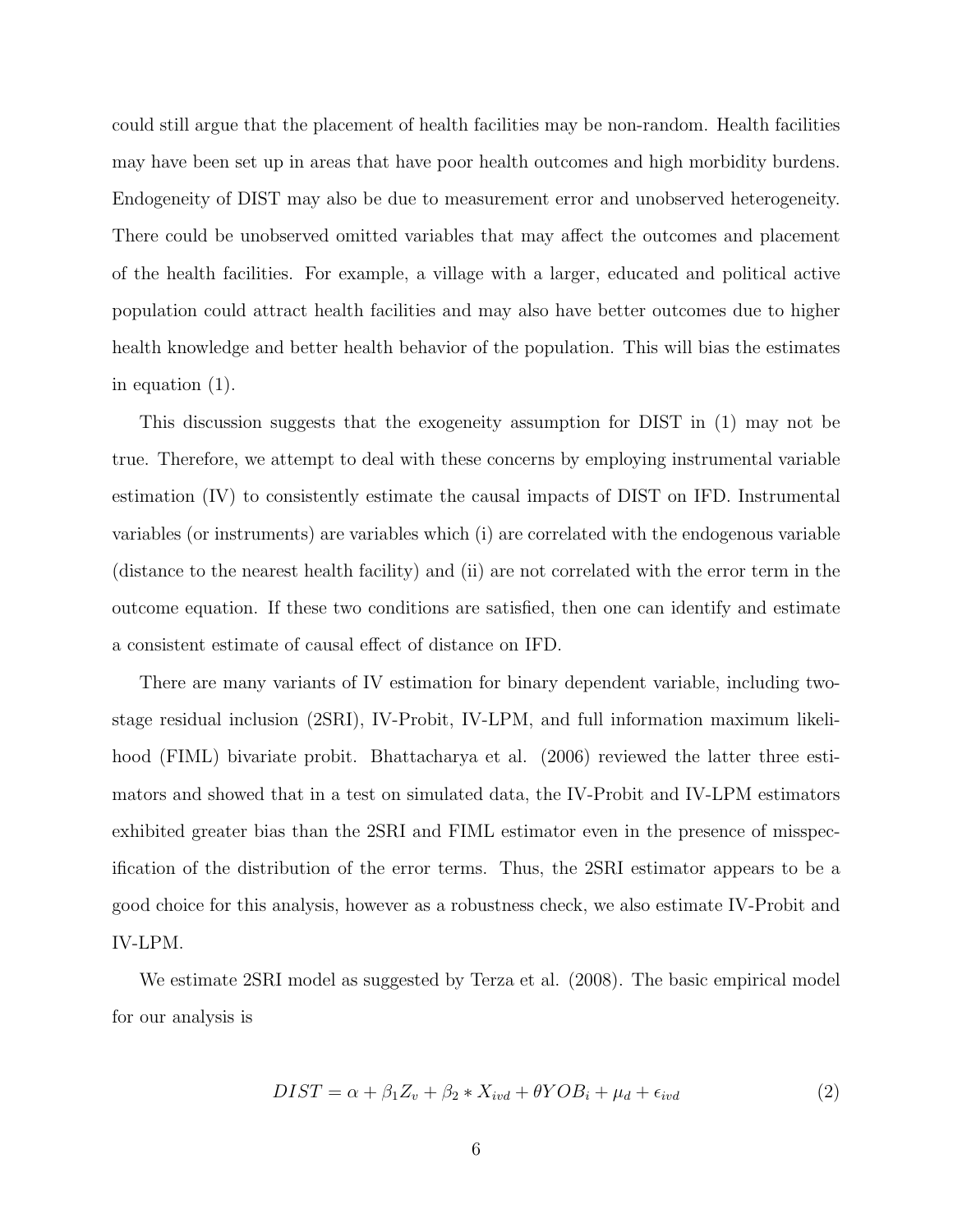could still argue that the placement of health facilities may be non-random. Health facilities may have been set up in areas that have poor health outcomes and high morbidity burdens. Endogeneity of DIST may also be due to measurement error and unobserved heterogeneity. There could be unobserved omitted variables that may affect the outcomes and placement of the health facilities. For example, a village with a larger, educated and political active population could attract health facilities and may also have better outcomes due to higher health knowledge and better health behavior of the population. This will bias the estimates in equation (1).

This discussion suggests that the exogeneity assumption for DIST in (1) may not be true. Therefore, we attempt to deal with these concerns by employing instrumental variable estimation (IV) to consistently estimate the causal impacts of DIST on IFD. Instrumental variables (or instruments) are variables which (i) are correlated with the endogenous variable (distance to the nearest health facility) and (ii) are not correlated with the error term in the outcome equation. If these two conditions are satisfied, then one can identify and estimate a consistent estimate of causal effect of distance on IFD.

There are many variants of IV estimation for binary dependent variable, including twostage residual inclusion (2SRI), IV-Probit, IV-LPM, and full information maximum likelihood (FIML) bivariate probit. Bhattacharya et al. (2006) reviewed the latter three estimators and showed that in a test on simulated data, the IV-Probit and IV-LPM estimators exhibited greater bias than the 2SRI and FIML estimator even in the presence of misspecification of the distribution of the error terms. Thus, the 2SRI estimator appears to be a good choice for this analysis, however as a robustness check, we also estimate IV-Probit and IV-LPM.

We estimate 2SRI model as suggested by Terza et al. (2008). The basic empirical model for our analysis is

$$
DIST = \alpha + \beta_1 Z_v + \beta_2 * X_{ivd} + \theta YOB_i + \mu_d + \epsilon_{ivd}
$$
\n<sup>(2)</sup>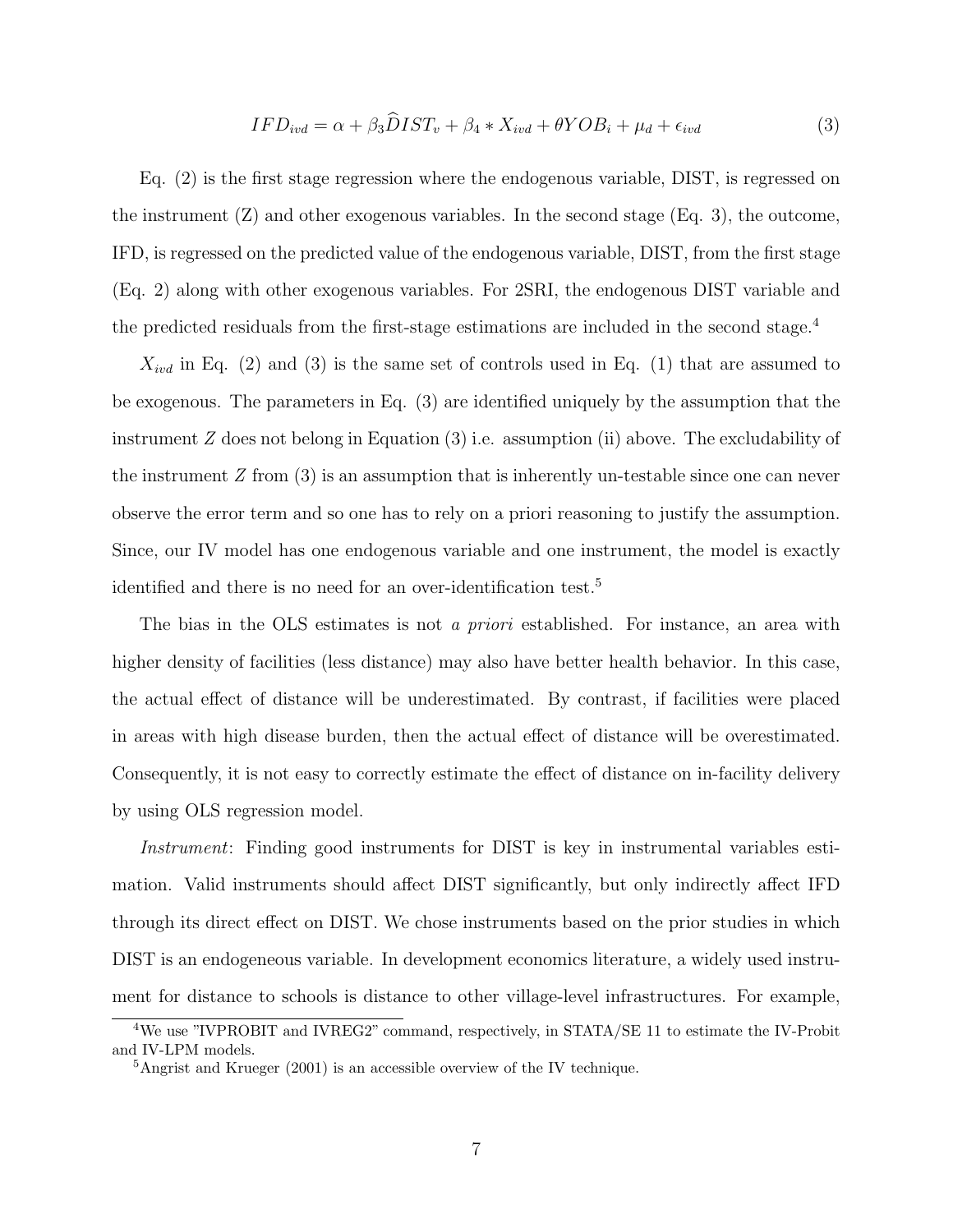$$
IFD_{ivd} = \alpha + \beta_3 \widehat{D} IST_v + \beta_4 * X_{ivd} + \theta YOB_i + \mu_d + \epsilon_{ivd}
$$
\n(3)

Eq. (2) is the first stage regression where the endogenous variable, DIST, is regressed on the instrument (Z) and other exogenous variables. In the second stage (Eq. 3), the outcome, IFD, is regressed on the predicted value of the endogenous variable, DIST, from the first stage (Eq. 2) along with other exogenous variables. For 2SRI, the endogenous DIST variable and the predicted residuals from the first-stage estimations are included in the second stage.<sup>4</sup>

 $X_{ivd}$  in Eq. (2) and (3) is the same set of controls used in Eq. (1) that are assumed to be exogenous. The parameters in Eq. (3) are identified uniquely by the assumption that the instrument Z does not belong in Equation (3) i.e. assumption (ii) above. The excludability of the instrument Z from (3) is an assumption that is inherently un-testable since one can never observe the error term and so one has to rely on a priori reasoning to justify the assumption. Since, our IV model has one endogenous variable and one instrument, the model is exactly identified and there is no need for an over-identification test.<sup>5</sup>

The bias in the OLS estimates is not a *priori* established. For instance, an area with higher density of facilities (less distance) may also have better health behavior. In this case, the actual effect of distance will be underestimated. By contrast, if facilities were placed in areas with high disease burden, then the actual effect of distance will be overestimated. Consequently, it is not easy to correctly estimate the effect of distance on in-facility delivery by using OLS regression model.

Instrument: Finding good instruments for DIST is key in instrumental variables estimation. Valid instruments should affect DIST significantly, but only indirectly affect IFD through its direct effect on DIST. We chose instruments based on the prior studies in which DIST is an endogeneous variable. In development economics literature, a widely used instrument for distance to schools is distance to other village-level infrastructures. For example,

<sup>4</sup>We use "IVPROBIT and IVREG2" command, respectively, in STATA/SE 11 to estimate the IV-Probit and IV-LPM models.

<sup>5</sup>Angrist and Krueger (2001) is an accessible overview of the IV technique.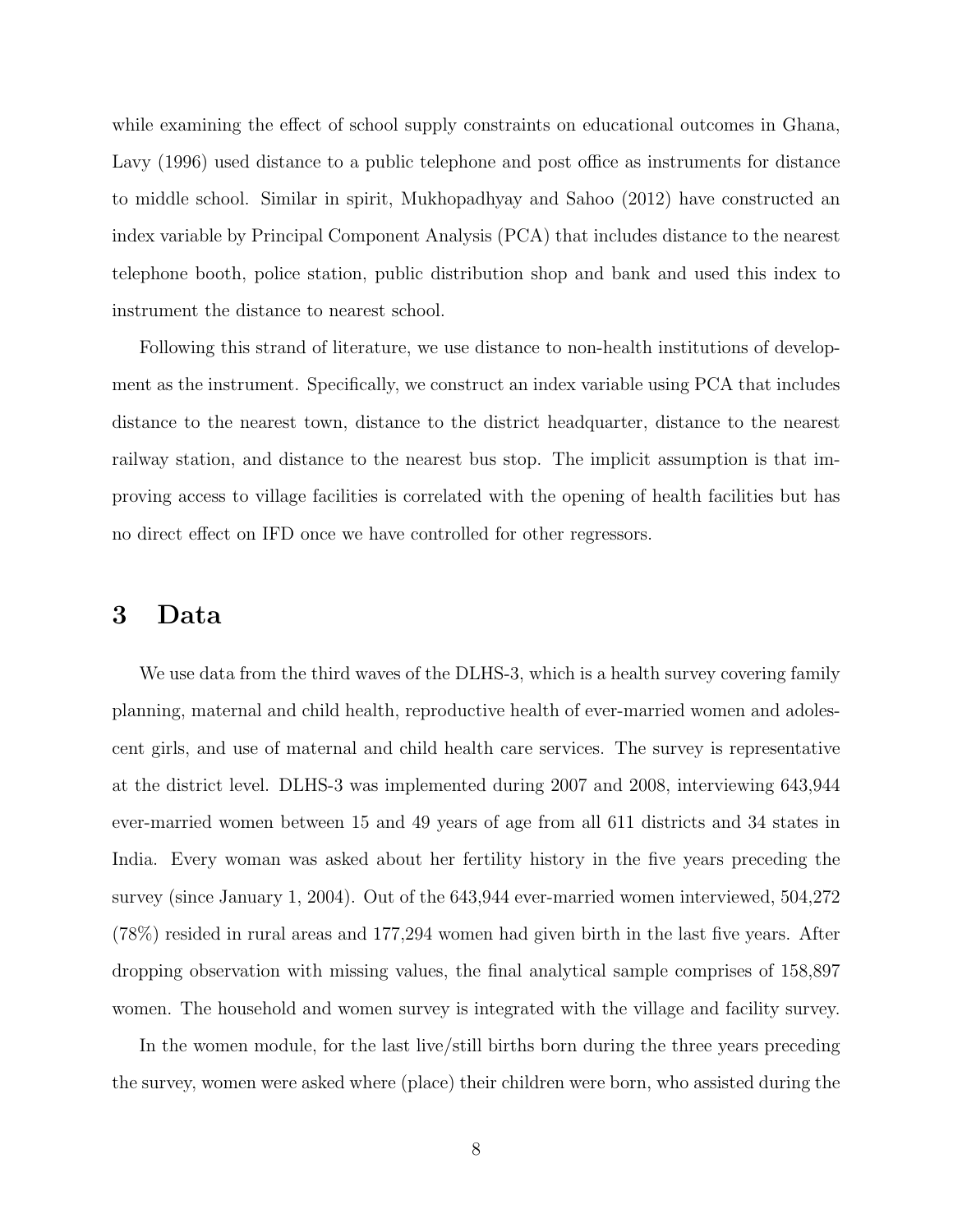while examining the effect of school supply constraints on educational outcomes in Ghana, Lavy (1996) used distance to a public telephone and post office as instruments for distance to middle school. Similar in spirit, Mukhopadhyay and Sahoo (2012) have constructed an index variable by Principal Component Analysis (PCA) that includes distance to the nearest telephone booth, police station, public distribution shop and bank and used this index to instrument the distance to nearest school.

Following this strand of literature, we use distance to non-health institutions of development as the instrument. Specifically, we construct an index variable using PCA that includes distance to the nearest town, distance to the district headquarter, distance to the nearest railway station, and distance to the nearest bus stop. The implicit assumption is that improving access to village facilities is correlated with the opening of health facilities but has no direct effect on IFD once we have controlled for other regressors.

### 3 Data

We use data from the third waves of the DLHS-3, which is a health survey covering family planning, maternal and child health, reproductive health of ever-married women and adolescent girls, and use of maternal and child health care services. The survey is representative at the district level. DLHS-3 was implemented during 2007 and 2008, interviewing 643,944 ever-married women between 15 and 49 years of age from all 611 districts and 34 states in India. Every woman was asked about her fertility history in the five years preceding the survey (since January 1, 2004). Out of the 643,944 ever-married women interviewed, 504,272 (78%) resided in rural areas and 177,294 women had given birth in the last five years. After dropping observation with missing values, the final analytical sample comprises of 158,897 women. The household and women survey is integrated with the village and facility survey.

In the women module, for the last live/still births born during the three years preceding the survey, women were asked where (place) their children were born, who assisted during the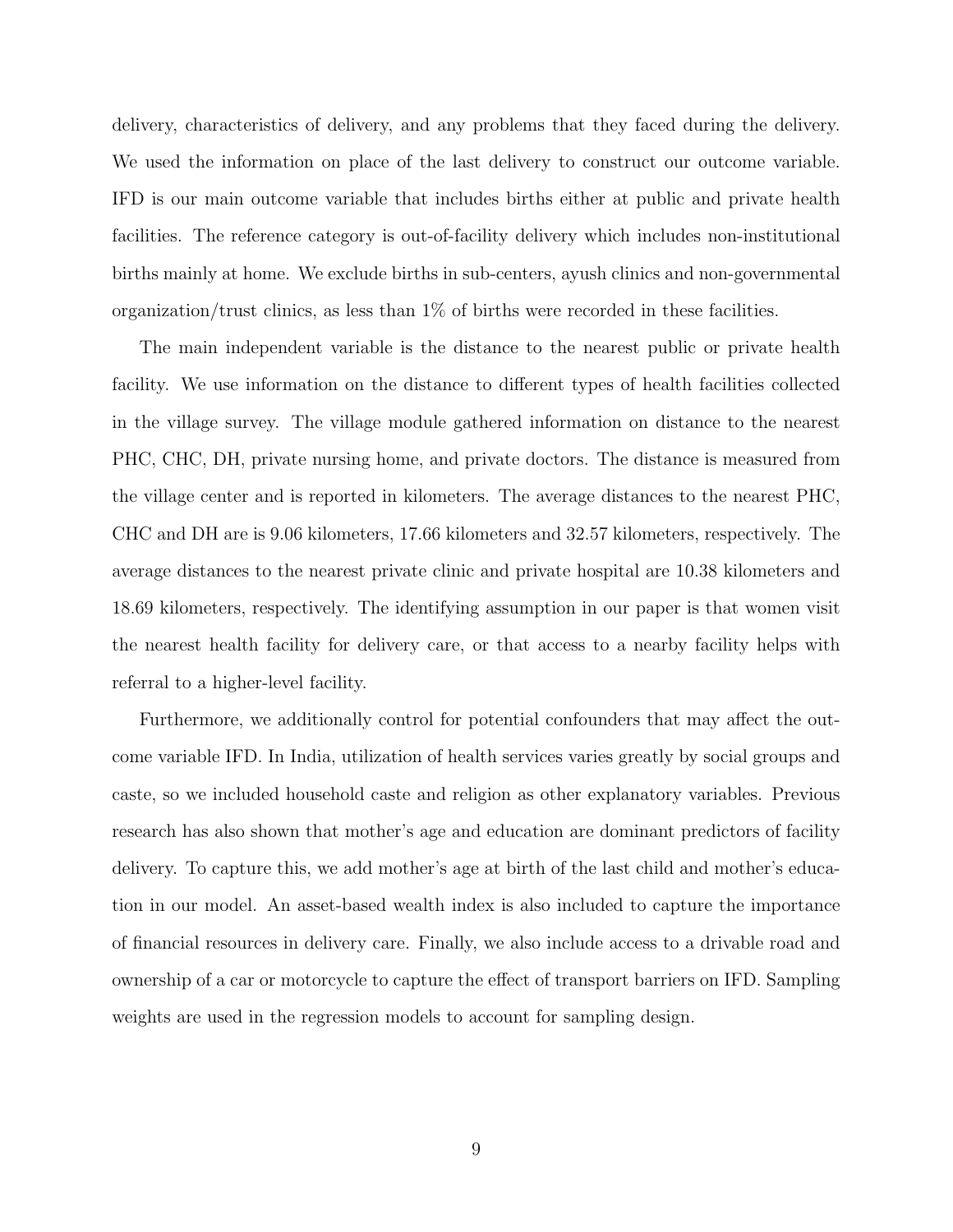delivery, characteristics of delivery, and any problems that they faced during the delivery. We used the information on place of the last delivery to construct our outcome variable. IFD is our main outcome variable that includes births either at public and private health facilities. The reference category is out-of-facility delivery which includes non-institutional births mainly at home. We exclude births in sub-centers, ayush clinics and non-governmental organization/trust clinics, as less than 1% of births were recorded in these facilities.

The main independent variable is the distance to the nearest public or private health facility. We use information on the distance to different types of health facilities collected in the village survey. The village module gathered information on distance to the nearest PHC, CHC, DH, private nursing home, and private doctors. The distance is measured from the village center and is reported in kilometers. The average distances to the nearest PHC, CHC and DH are is 9.06 kilometers, 17.66 kilometers and 32.57 kilometers, respectively. The average distances to the nearest private clinic and private hospital are 10.38 kilometers and 18.69 kilometers, respectively. The identifying assumption in our paper is that women visit the nearest health facility for delivery care, or that access to a nearby facility helps with referral to a higher-level facility.

Furthermore, we additionally control for potential confounders that may affect the outcome variable IFD. In India, utilization of health services varies greatly by social groups and caste, so we included household caste and religion as other explanatory variables. Previous research has also shown that mother's age and education are dominant predictors of facility delivery. To capture this, we add mother's age at birth of the last child and mother's education in our model. An asset-based wealth index is also included to capture the importance of financial resources in delivery care. Finally, we also include access to a drivable road and ownership of a car or motorcycle to capture the effect of transport barriers on IFD. Sampling weights are used in the regression models to account for sampling design.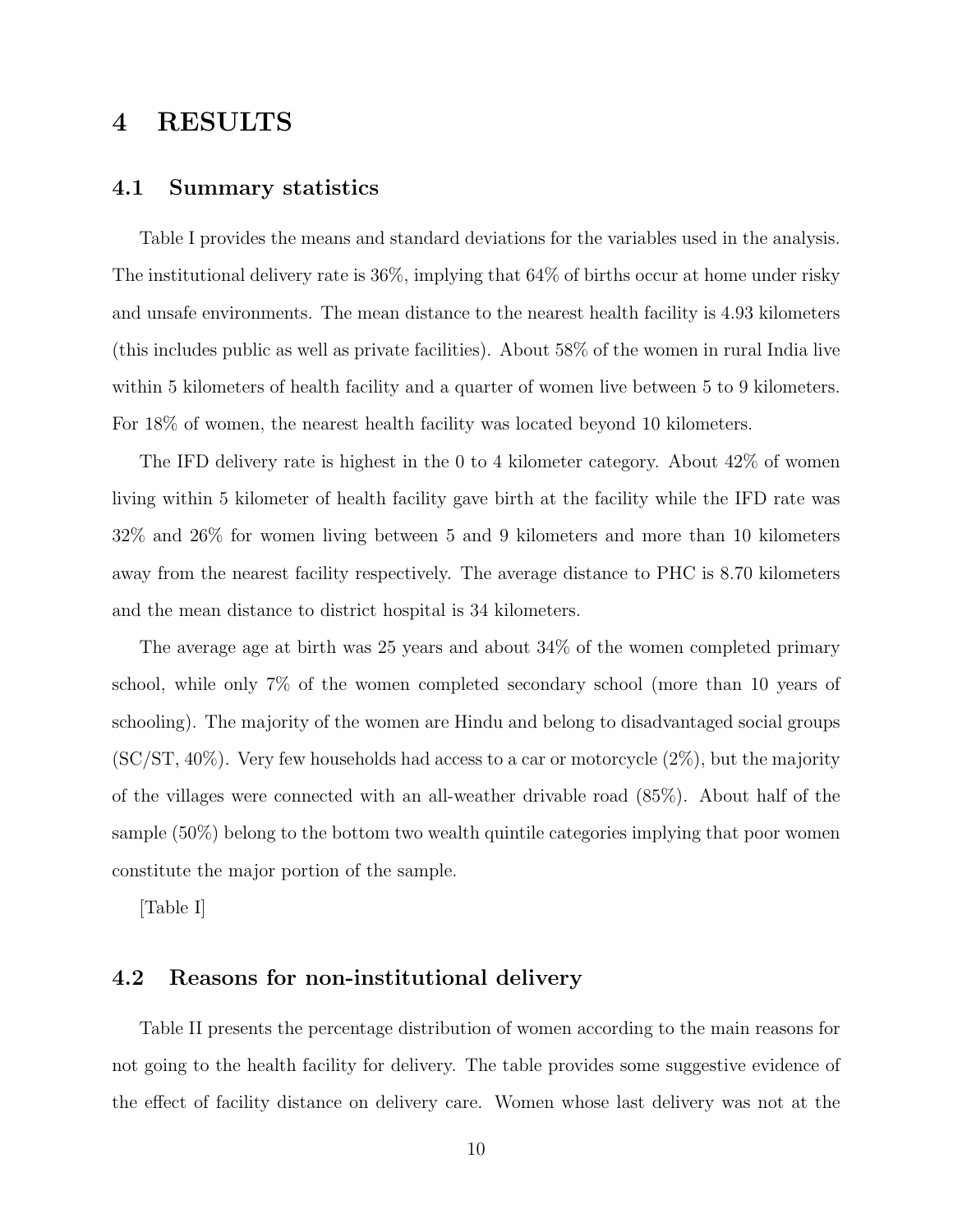## 4 RESULTS

#### 4.1 Summary statistics

Table I provides the means and standard deviations for the variables used in the analysis. The institutional delivery rate is 36%, implying that 64% of births occur at home under risky and unsafe environments. The mean distance to the nearest health facility is 4.93 kilometers (this includes public as well as private facilities). About 58% of the women in rural India live within 5 kilometers of health facility and a quarter of women live between 5 to 9 kilometers. For 18% of women, the nearest health facility was located beyond 10 kilometers.

The IFD delivery rate is highest in the 0 to 4 kilometer category. About 42% of women living within 5 kilometer of health facility gave birth at the facility while the IFD rate was 32% and 26% for women living between 5 and 9 kilometers and more than 10 kilometers away from the nearest facility respectively. The average distance to PHC is 8.70 kilometers and the mean distance to district hospital is 34 kilometers.

The average age at birth was 25 years and about 34% of the women completed primary school, while only 7% of the women completed secondary school (more than 10 years of schooling). The majority of the women are Hindu and belong to disadvantaged social groups (SC/ST, 40%). Very few households had access to a car or motorcycle (2%), but the majority of the villages were connected with an all-weather drivable road (85%). About half of the sample (50%) belong to the bottom two wealth quintile categories implying that poor women constitute the major portion of the sample.

[Table I]

### 4.2 Reasons for non-institutional delivery

Table II presents the percentage distribution of women according to the main reasons for not going to the health facility for delivery. The table provides some suggestive evidence of the effect of facility distance on delivery care. Women whose last delivery was not at the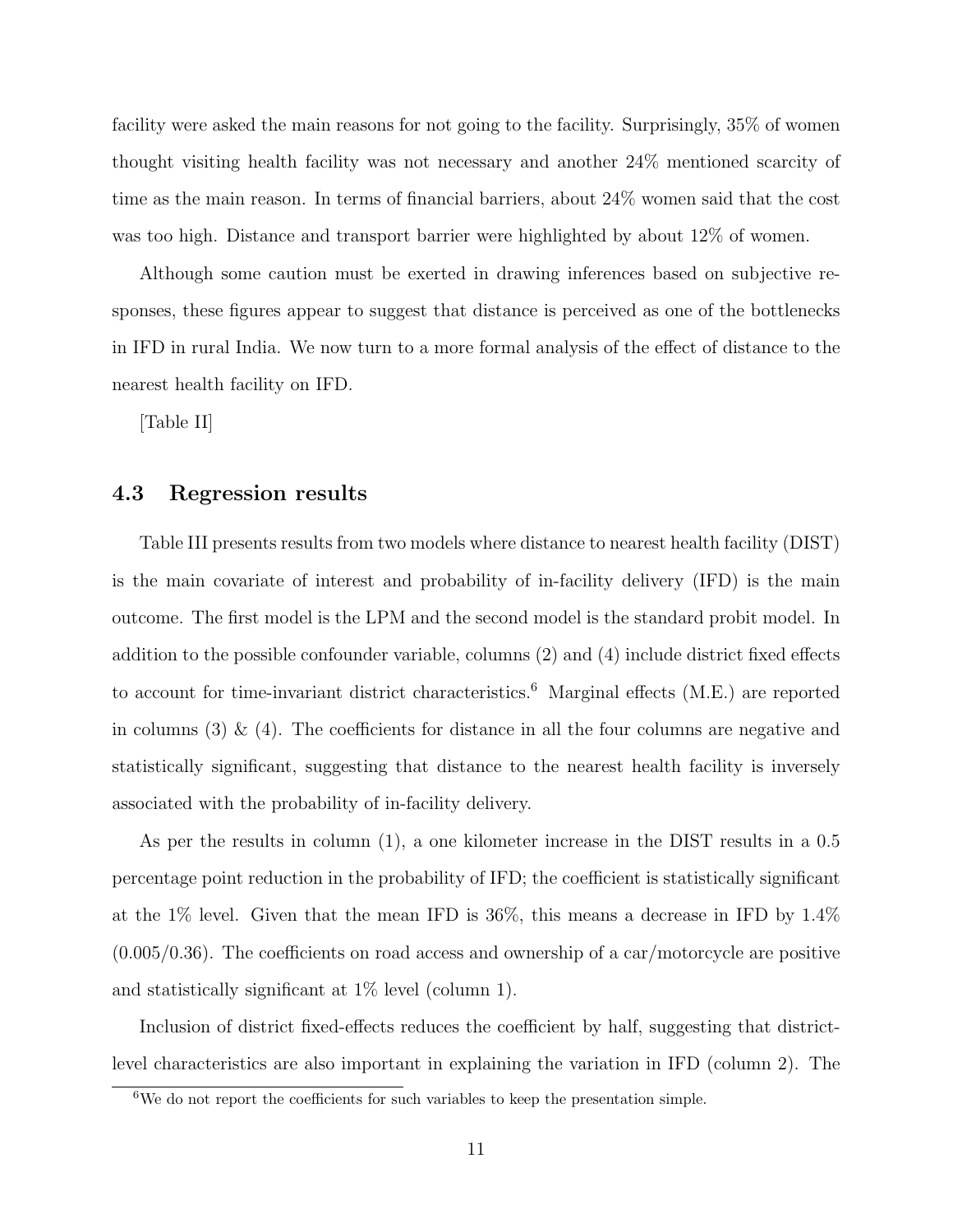facility were asked the main reasons for not going to the facility. Surprisingly, 35% of women thought visiting health facility was not necessary and another 24% mentioned scarcity of time as the main reason. In terms of financial barriers, about 24% women said that the cost was too high. Distance and transport barrier were highlighted by about 12% of women.

Although some caution must be exerted in drawing inferences based on subjective responses, these figures appear to suggest that distance is perceived as one of the bottlenecks in IFD in rural India. We now turn to a more formal analysis of the effect of distance to the nearest health facility on IFD.

[Table II]

#### 4.3 Regression results

Table III presents results from two models where distance to nearest health facility (DIST) is the main covariate of interest and probability of in-facility delivery (IFD) is the main outcome. The first model is the LPM and the second model is the standard probit model. In addition to the possible confounder variable, columns (2) and (4) include district fixed effects to account for time-invariant district characteristics.<sup>6</sup> Marginal effects (M.E.) are reported in columns (3)  $\&$  (4). The coefficients for distance in all the four columns are negative and statistically significant, suggesting that distance to the nearest health facility is inversely associated with the probability of in-facility delivery.

As per the results in column (1), a one kilometer increase in the DIST results in a 0.5 percentage point reduction in the probability of IFD; the coefficient is statistically significant at the 1% level. Given that the mean IFD is 36%, this means a decrease in IFD by 1.4% (0.005/0.36). The coefficients on road access and ownership of a car/motorcycle are positive and statistically significant at 1% level (column 1).

Inclusion of district fixed-effects reduces the coefficient by half, suggesting that districtlevel characteristics are also important in explaining the variation in IFD (column 2). The

 $^6\mathrm{We}$  do not report the coefficients for such variables to keep the presentation simple.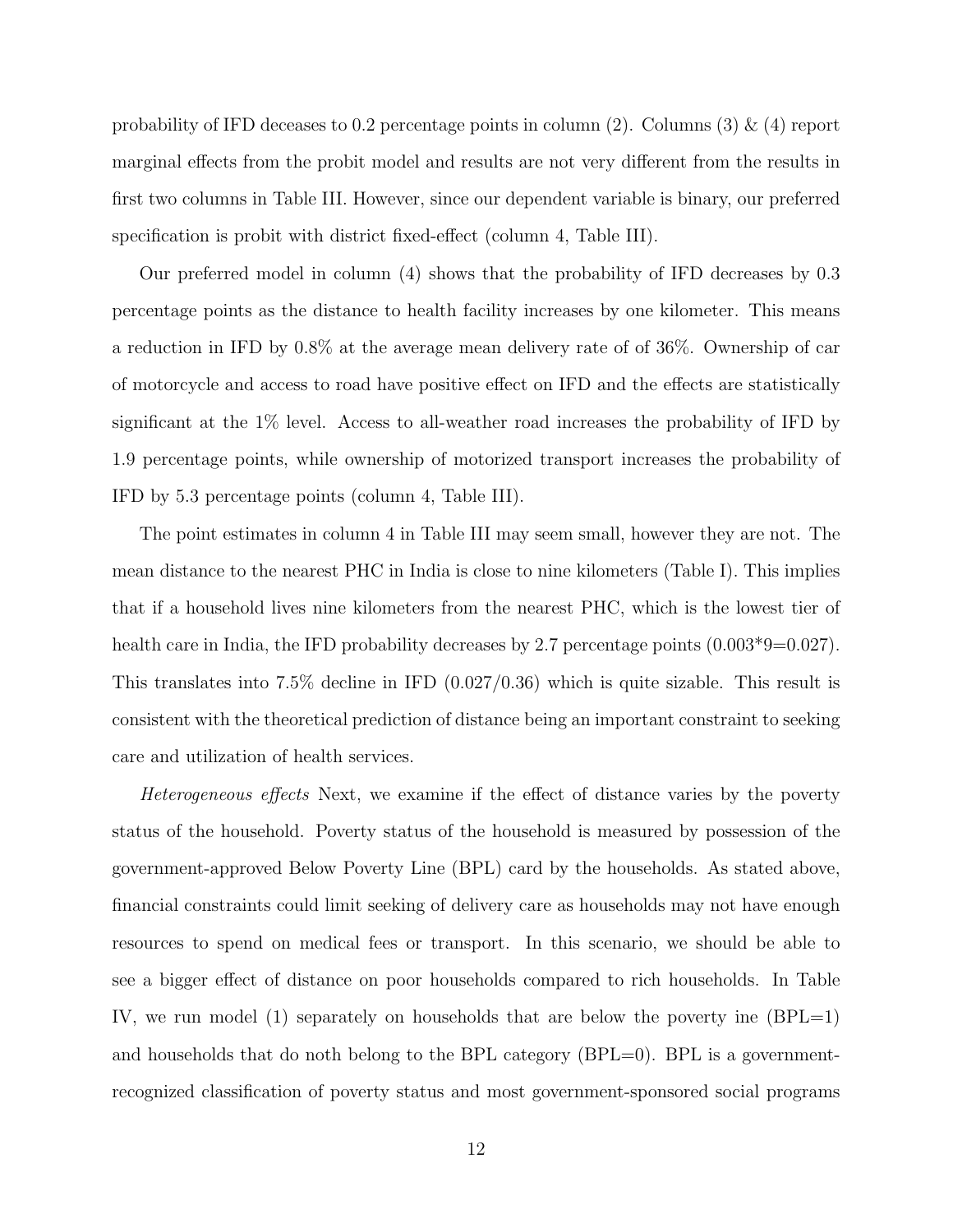probability of IFD deceases to 0.2 percentage points in column (2). Columns (3)  $\&$  (4) report marginal effects from the probit model and results are not very different from the results in first two columns in Table III. However, since our dependent variable is binary, our preferred specification is probit with district fixed-effect (column 4, Table III).

Our preferred model in column (4) shows that the probability of IFD decreases by 0.3 percentage points as the distance to health facility increases by one kilometer. This means a reduction in IFD by 0.8% at the average mean delivery rate of of 36%. Ownership of car of motorcycle and access to road have positive effect on IFD and the effects are statistically significant at the 1% level. Access to all-weather road increases the probability of IFD by 1.9 percentage points, while ownership of motorized transport increases the probability of IFD by 5.3 percentage points (column 4, Table III).

The point estimates in column 4 in Table III may seem small, however they are not. The mean distance to the nearest PHC in India is close to nine kilometers (Table I). This implies that if a household lives nine kilometers from the nearest PHC, which is the lowest tier of health care in India, the IFD probability decreases by 2.7 percentage points  $(0.003*)=0.027$ . This translates into 7.5% decline in IFD (0.027/0.36) which is quite sizable. This result is consistent with the theoretical prediction of distance being an important constraint to seeking care and utilization of health services.

Heterogeneous effects Next, we examine if the effect of distance varies by the poverty status of the household. Poverty status of the household is measured by possession of the government-approved Below Poverty Line (BPL) card by the households. As stated above, financial constraints could limit seeking of delivery care as households may not have enough resources to spend on medical fees or transport. In this scenario, we should be able to see a bigger effect of distance on poor households compared to rich households. In Table IV, we run model  $(1)$  separately on households that are below the poverty ine  $(BPL=1)$ and households that do noth belong to the BPL category  $(BPL=0)$ . BPL is a governmentrecognized classification of poverty status and most government-sponsored social programs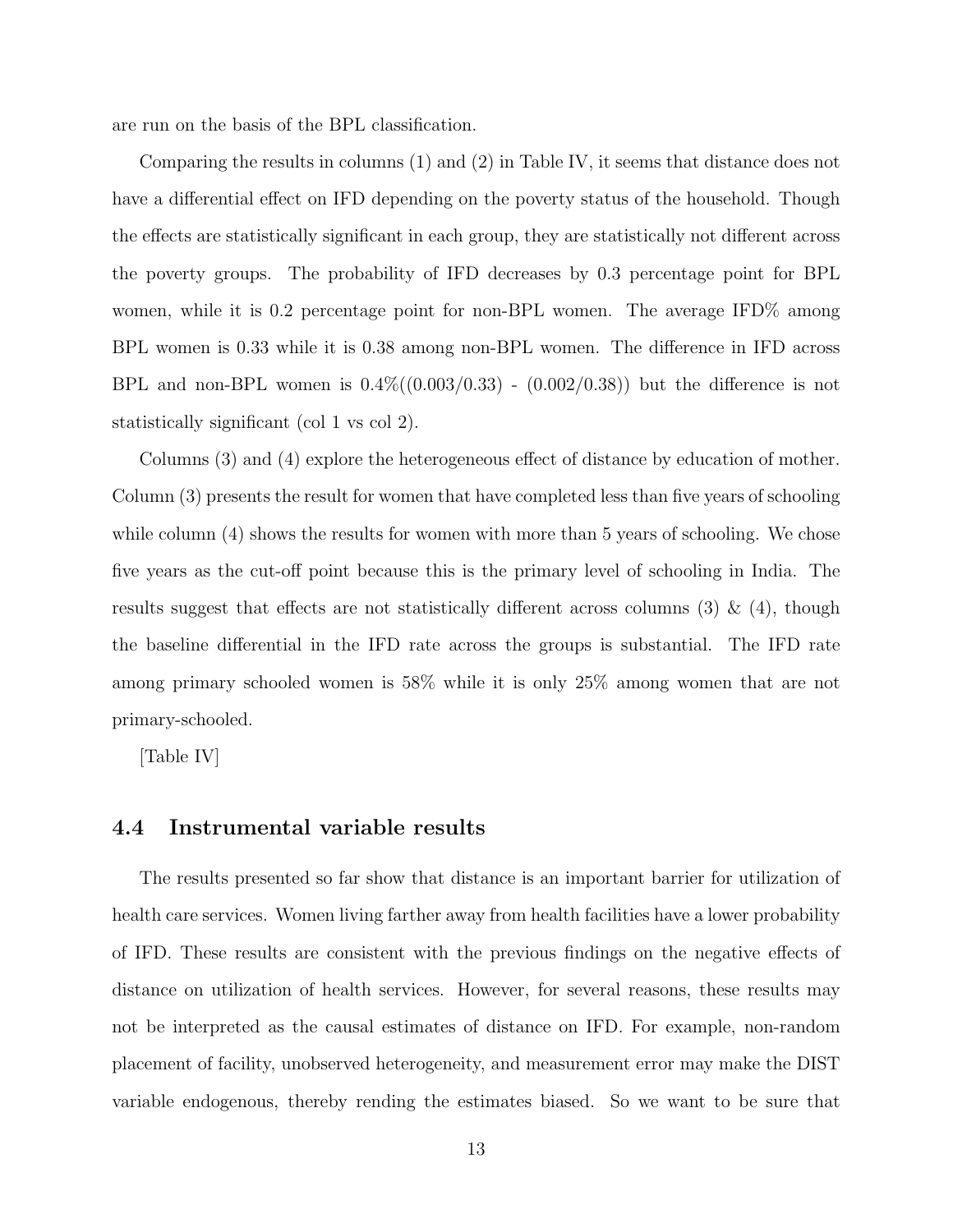are run on the basis of the BPL classification.

Comparing the results in columns (1) and (2) in Table IV, it seems that distance does not have a differential effect on IFD depending on the poverty status of the household. Though the effects are statistically significant in each group, they are statistically not different across the poverty groups. The probability of IFD decreases by 0.3 percentage point for BPL women, while it is 0.2 percentage point for non-BPL women. The average IFD% among BPL women is 0.33 while it is 0.38 among non-BPL women. The difference in IFD across BPL and non-BPL women is  $0.4\%(0.003/0.33) - (0.002/0.38))$  but the difference is not statistically significant (col 1 vs col 2).

Columns (3) and (4) explore the heterogeneous effect of distance by education of mother. Column (3) presents the result for women that have completed less than five years of schooling while column (4) shows the results for women with more than 5 years of schooling. We chose five years as the cut-off point because this is the primary level of schooling in India. The results suggest that effects are not statistically different across columns (3) & (4), though the baseline differential in the IFD rate across the groups is substantial. The IFD rate among primary schooled women is 58% while it is only 25% among women that are not primary-schooled.

[Table IV]

#### 4.4 Instrumental variable results

The results presented so far show that distance is an important barrier for utilization of health care services. Women living farther away from health facilities have a lower probability of IFD. These results are consistent with the previous findings on the negative effects of distance on utilization of health services. However, for several reasons, these results may not be interpreted as the causal estimates of distance on IFD. For example, non-random placement of facility, unobserved heterogeneity, and measurement error may make the DIST variable endogenous, thereby rending the estimates biased. So we want to be sure that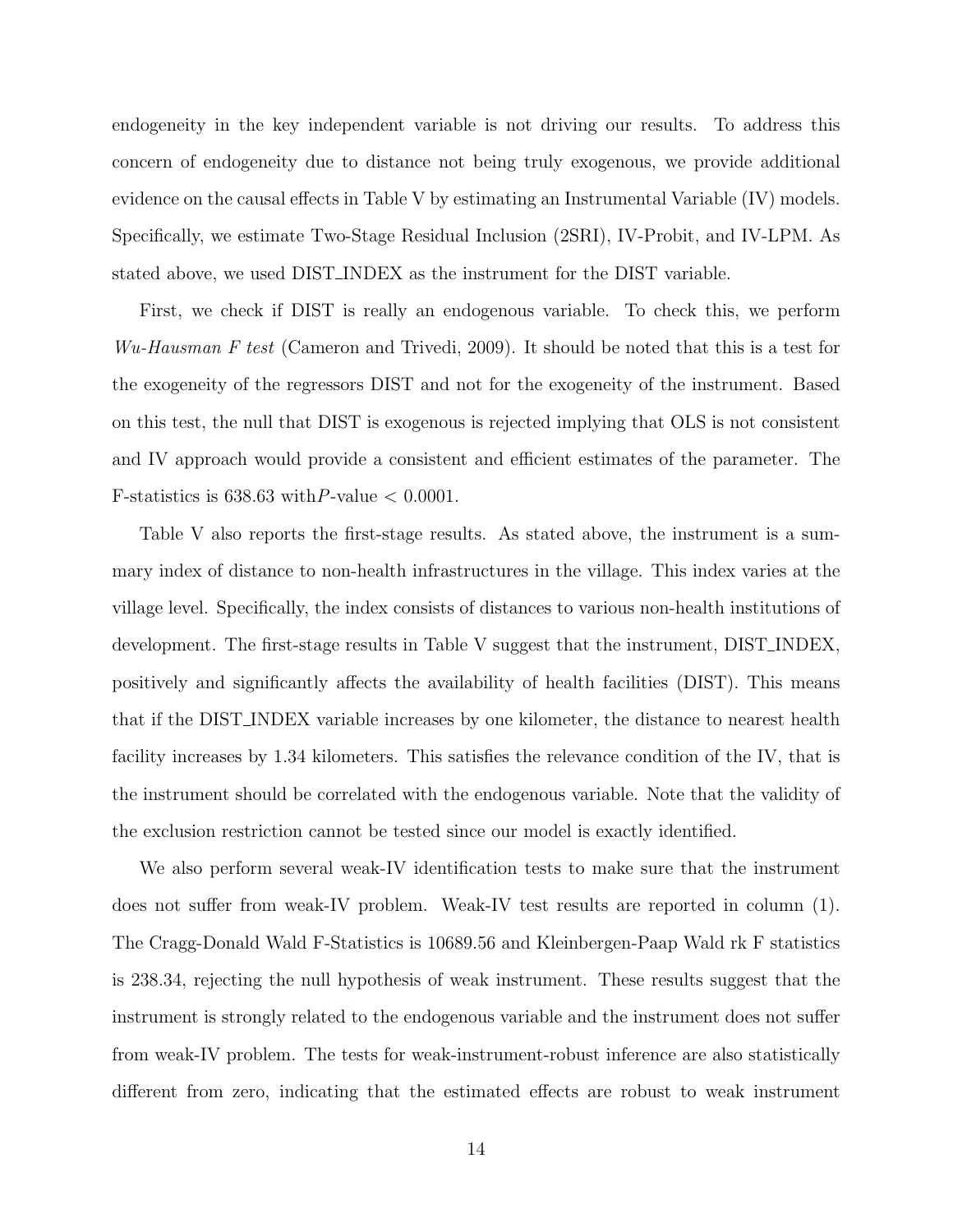endogeneity in the key independent variable is not driving our results. To address this concern of endogeneity due to distance not being truly exogenous, we provide additional evidence on the causal effects in Table V by estimating an Instrumental Variable (IV) models. Specifically, we estimate Two-Stage Residual Inclusion (2SRI), IV-Probit, and IV-LPM. As stated above, we used DIST INDEX as the instrument for the DIST variable.

First, we check if DIST is really an endogenous variable. To check this, we perform  $W_u$ -Hausman F test (Cameron and Trivedi, 2009). It should be noted that this is a test for the exogeneity of the regressors DIST and not for the exogeneity of the instrument. Based on this test, the null that DIST is exogenous is rejected implying that OLS is not consistent and IV approach would provide a consistent and efficient estimates of the parameter. The F-statistics is  $638.63$  with P-value  $< 0.0001$ .

Table V also reports the first-stage results. As stated above, the instrument is a summary index of distance to non-health infrastructures in the village. This index varies at the village level. Specifically, the index consists of distances to various non-health institutions of development. The first-stage results in Table V suggest that the instrument, DIST INDEX, positively and significantly affects the availability of health facilities (DIST). This means that if the DIST INDEX variable increases by one kilometer, the distance to nearest health facility increases by 1.34 kilometers. This satisfies the relevance condition of the IV, that is the instrument should be correlated with the endogenous variable. Note that the validity of the exclusion restriction cannot be tested since our model is exactly identified.

We also perform several weak-IV identification tests to make sure that the instrument does not suffer from weak-IV problem. Weak-IV test results are reported in column (1). The Cragg-Donald Wald F-Statistics is 10689.56 and Kleinbergen-Paap Wald rk F statistics is 238.34, rejecting the null hypothesis of weak instrument. These results suggest that the instrument is strongly related to the endogenous variable and the instrument does not suffer from weak-IV problem. The tests for weak-instrument-robust inference are also statistically different from zero, indicating that the estimated effects are robust to weak instrument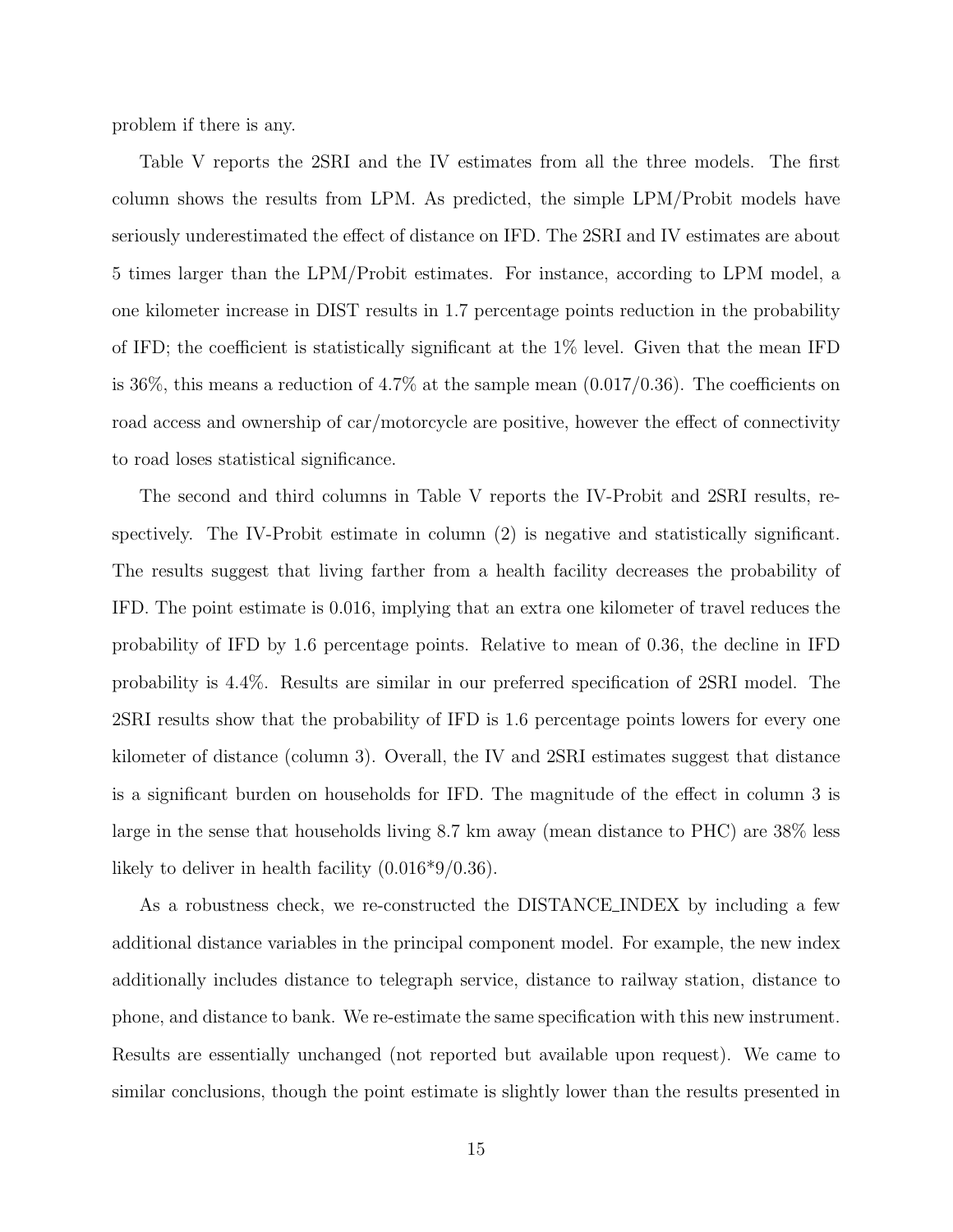problem if there is any.

Table V reports the 2SRI and the IV estimates from all the three models. The first column shows the results from LPM. As predicted, the simple LPM/Probit models have seriously underestimated the effect of distance on IFD. The 2SRI and IV estimates are about 5 times larger than the LPM/Probit estimates. For instance, according to LPM model, a one kilometer increase in DIST results in 1.7 percentage points reduction in the probability of IFD; the coefficient is statistically significant at the 1% level. Given that the mean IFD is 36%, this means a reduction of  $4.7\%$  at the sample mean  $(0.017/0.36)$ . The coefficients on road access and ownership of car/motorcycle are positive, however the effect of connectivity to road loses statistical significance.

The second and third columns in Table V reports the IV-Probit and 2SRI results, respectively. The IV-Probit estimate in column (2) is negative and statistically significant. The results suggest that living farther from a health facility decreases the probability of IFD. The point estimate is 0.016, implying that an extra one kilometer of travel reduces the probability of IFD by 1.6 percentage points. Relative to mean of 0.36, the decline in IFD probability is 4.4%. Results are similar in our preferred specification of 2SRI model. The 2SRI results show that the probability of IFD is 1.6 percentage points lowers for every one kilometer of distance (column 3). Overall, the IV and 2SRI estimates suggest that distance is a significant burden on households for IFD. The magnitude of the effect in column 3 is large in the sense that households living 8.7 km away (mean distance to PHC) are 38% less likely to deliver in health facility (0.016\*9/0.36).

As a robustness check, we re-constructed the DISTANCE INDEX by including a few additional distance variables in the principal component model. For example, the new index additionally includes distance to telegraph service, distance to railway station, distance to phone, and distance to bank. We re-estimate the same specification with this new instrument. Results are essentially unchanged (not reported but available upon request). We came to similar conclusions, though the point estimate is slightly lower than the results presented in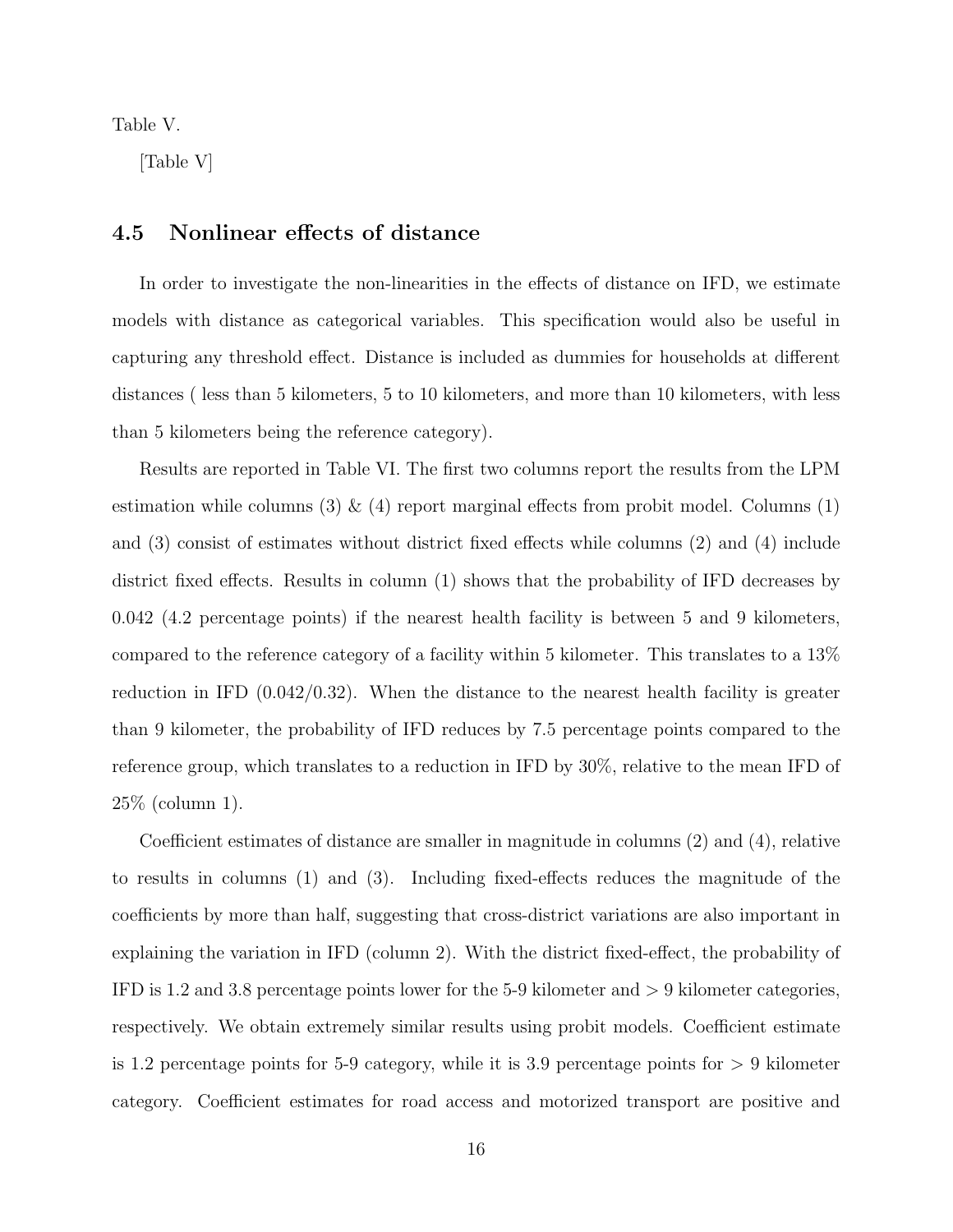Table V.

[Table V]

#### 4.5 Nonlinear effects of distance

In order to investigate the non-linearities in the effects of distance on IFD, we estimate models with distance as categorical variables. This specification would also be useful in capturing any threshold effect. Distance is included as dummies for households at different distances ( less than 5 kilometers, 5 to 10 kilometers, and more than 10 kilometers, with less than 5 kilometers being the reference category).

Results are reported in Table VI. The first two columns report the results from the LPM estimation while columns  $(3) \& (4)$  report marginal effects from probit model. Columns  $(1)$ and (3) consist of estimates without district fixed effects while columns (2) and (4) include district fixed effects. Results in column (1) shows that the probability of IFD decreases by 0.042 (4.2 percentage points) if the nearest health facility is between 5 and 9 kilometers, compared to the reference category of a facility within 5 kilometer. This translates to a 13% reduction in IFD  $(0.042/0.32)$ . When the distance to the nearest health facility is greater than 9 kilometer, the probability of IFD reduces by 7.5 percentage points compared to the reference group, which translates to a reduction in IFD by 30%, relative to the mean IFD of 25% (column 1).

Coefficient estimates of distance are smaller in magnitude in columns (2) and (4), relative to results in columns (1) and (3). Including fixed-effects reduces the magnitude of the coefficients by more than half, suggesting that cross-district variations are also important in explaining the variation in IFD (column 2). With the district fixed-effect, the probability of IFD is 1.2 and 3.8 percentage points lower for the 5-9 kilometer and > 9 kilometer categories, respectively. We obtain extremely similar results using probit models. Coefficient estimate is 1.2 percentage points for 5-9 category, while it is 3.9 percentage points for  $> 9$  kilometer category. Coefficient estimates for road access and motorized transport are positive and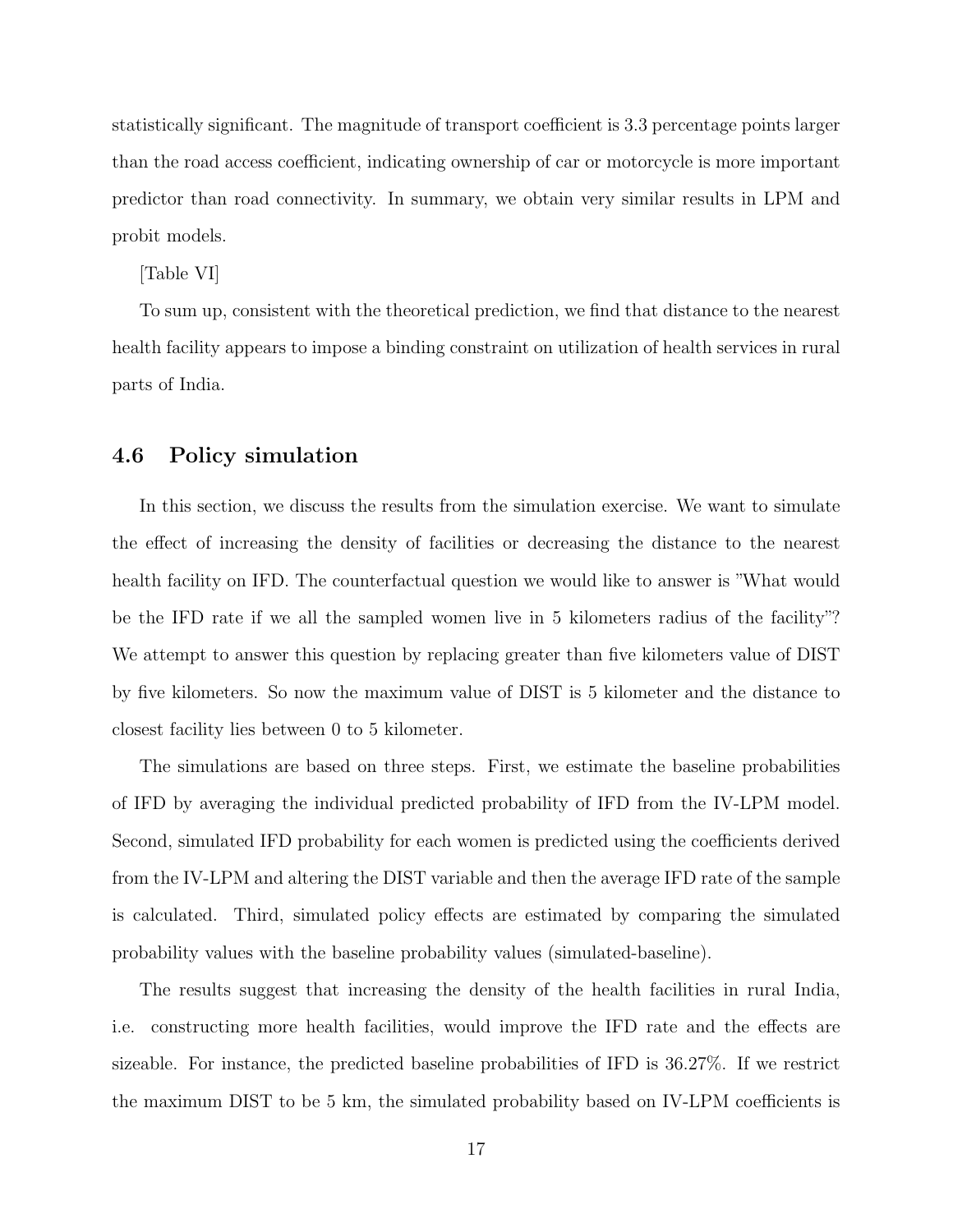statistically significant. The magnitude of transport coefficient is 3.3 percentage points larger than the road access coefficient, indicating ownership of car or motorcycle is more important predictor than road connectivity. In summary, we obtain very similar results in LPM and probit models.

[Table VI]

To sum up, consistent with the theoretical prediction, we find that distance to the nearest health facility appears to impose a binding constraint on utilization of health services in rural parts of India.

#### 4.6 Policy simulation

In this section, we discuss the results from the simulation exercise. We want to simulate the effect of increasing the density of facilities or decreasing the distance to the nearest health facility on IFD. The counterfactual question we would like to answer is "What would be the IFD rate if we all the sampled women live in 5 kilometers radius of the facility"? We attempt to answer this question by replacing greater than five kilometers value of DIST by five kilometers. So now the maximum value of DIST is 5 kilometer and the distance to closest facility lies between 0 to 5 kilometer.

The simulations are based on three steps. First, we estimate the baseline probabilities of IFD by averaging the individual predicted probability of IFD from the IV-LPM model. Second, simulated IFD probability for each women is predicted using the coefficients derived from the IV-LPM and altering the DIST variable and then the average IFD rate of the sample is calculated. Third, simulated policy effects are estimated by comparing the simulated probability values with the baseline probability values (simulated-baseline).

The results suggest that increasing the density of the health facilities in rural India, i.e. constructing more health facilities, would improve the IFD rate and the effects are sizeable. For instance, the predicted baseline probabilities of IFD is 36.27%. If we restrict the maximum DIST to be 5 km, the simulated probability based on IV-LPM coefficients is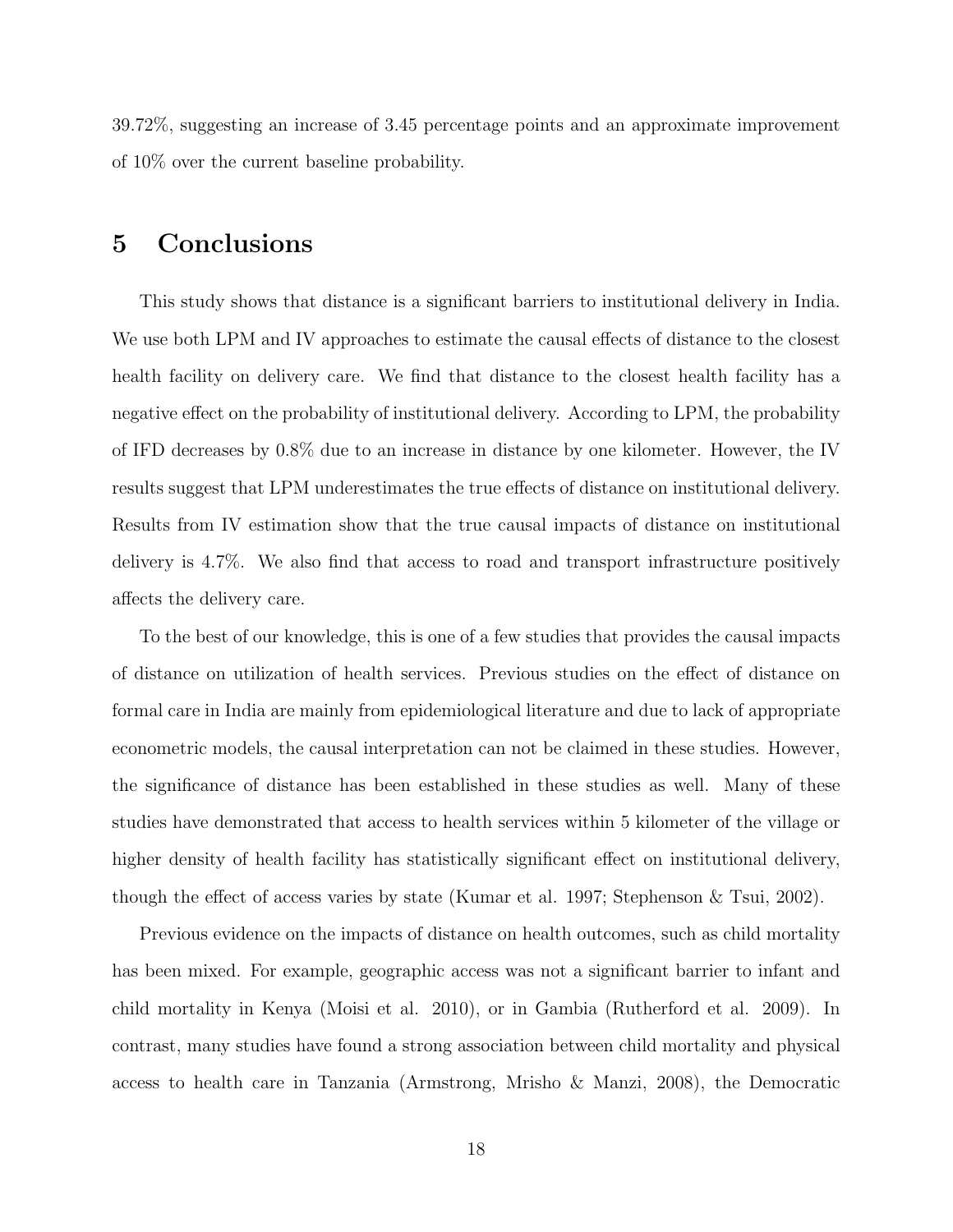39.72%, suggesting an increase of 3.45 percentage points and an approximate improvement of 10% over the current baseline probability.

### 5 Conclusions

This study shows that distance is a significant barriers to institutional delivery in India. We use both LPM and IV approaches to estimate the causal effects of distance to the closest health facility on delivery care. We find that distance to the closest health facility has a negative effect on the probability of institutional delivery. According to LPM, the probability of IFD decreases by 0.8% due to an increase in distance by one kilometer. However, the IV results suggest that LPM underestimates the true effects of distance on institutional delivery. Results from IV estimation show that the true causal impacts of distance on institutional delivery is 4.7%. We also find that access to road and transport infrastructure positively affects the delivery care.

To the best of our knowledge, this is one of a few studies that provides the causal impacts of distance on utilization of health services. Previous studies on the effect of distance on formal care in India are mainly from epidemiological literature and due to lack of appropriate econometric models, the causal interpretation can not be claimed in these studies. However, the significance of distance has been established in these studies as well. Many of these studies have demonstrated that access to health services within 5 kilometer of the village or higher density of health facility has statistically significant effect on institutional delivery, though the effect of access varies by state (Kumar et al. 1997; Stephenson & Tsui, 2002).

Previous evidence on the impacts of distance on health outcomes, such as child mortality has been mixed. For example, geographic access was not a significant barrier to infant and child mortality in Kenya (Moisi et al. 2010), or in Gambia (Rutherford et al. 2009). In contrast, many studies have found a strong association between child mortality and physical access to health care in Tanzania (Armstrong, Mrisho & Manzi, 2008), the Democratic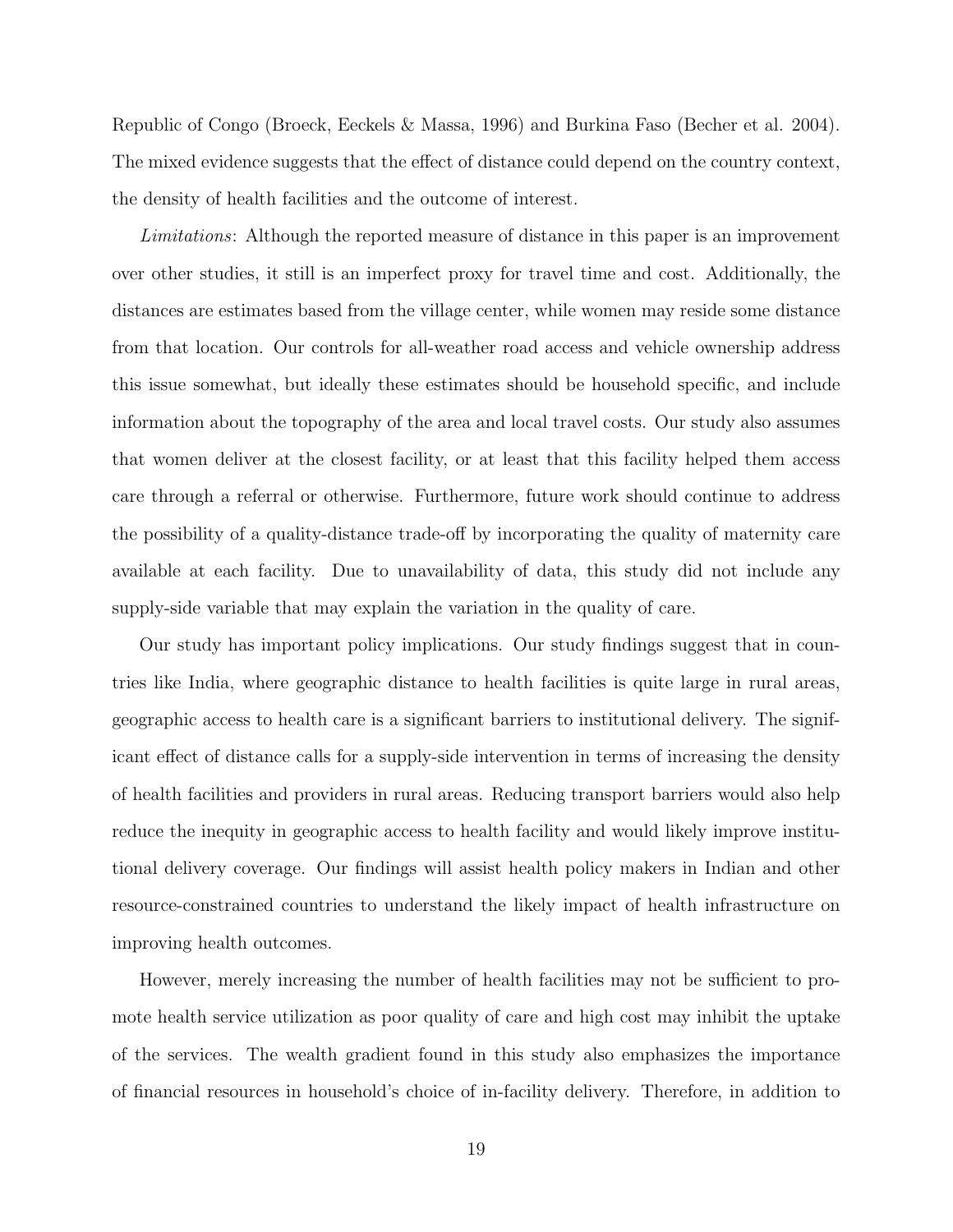Republic of Congo (Broeck, Eeckels & Massa, 1996) and Burkina Faso (Becher et al. 2004). The mixed evidence suggests that the effect of distance could depend on the country context, the density of health facilities and the outcome of interest.

Limitations: Although the reported measure of distance in this paper is an improvement over other studies, it still is an imperfect proxy for travel time and cost. Additionally, the distances are estimates based from the village center, while women may reside some distance from that location. Our controls for all-weather road access and vehicle ownership address this issue somewhat, but ideally these estimates should be household specific, and include information about the topography of the area and local travel costs. Our study also assumes that women deliver at the closest facility, or at least that this facility helped them access care through a referral or otherwise. Furthermore, future work should continue to address the possibility of a quality-distance trade-off by incorporating the quality of maternity care available at each facility. Due to unavailability of data, this study did not include any supply-side variable that may explain the variation in the quality of care.

Our study has important policy implications. Our study findings suggest that in countries like India, where geographic distance to health facilities is quite large in rural areas, geographic access to health care is a significant barriers to institutional delivery. The significant effect of distance calls for a supply-side intervention in terms of increasing the density of health facilities and providers in rural areas. Reducing transport barriers would also help reduce the inequity in geographic access to health facility and would likely improve institutional delivery coverage. Our findings will assist health policy makers in Indian and other resource-constrained countries to understand the likely impact of health infrastructure on improving health outcomes.

However, merely increasing the number of health facilities may not be sufficient to promote health service utilization as poor quality of care and high cost may inhibit the uptake of the services. The wealth gradient found in this study also emphasizes the importance of financial resources in household's choice of in-facility delivery. Therefore, in addition to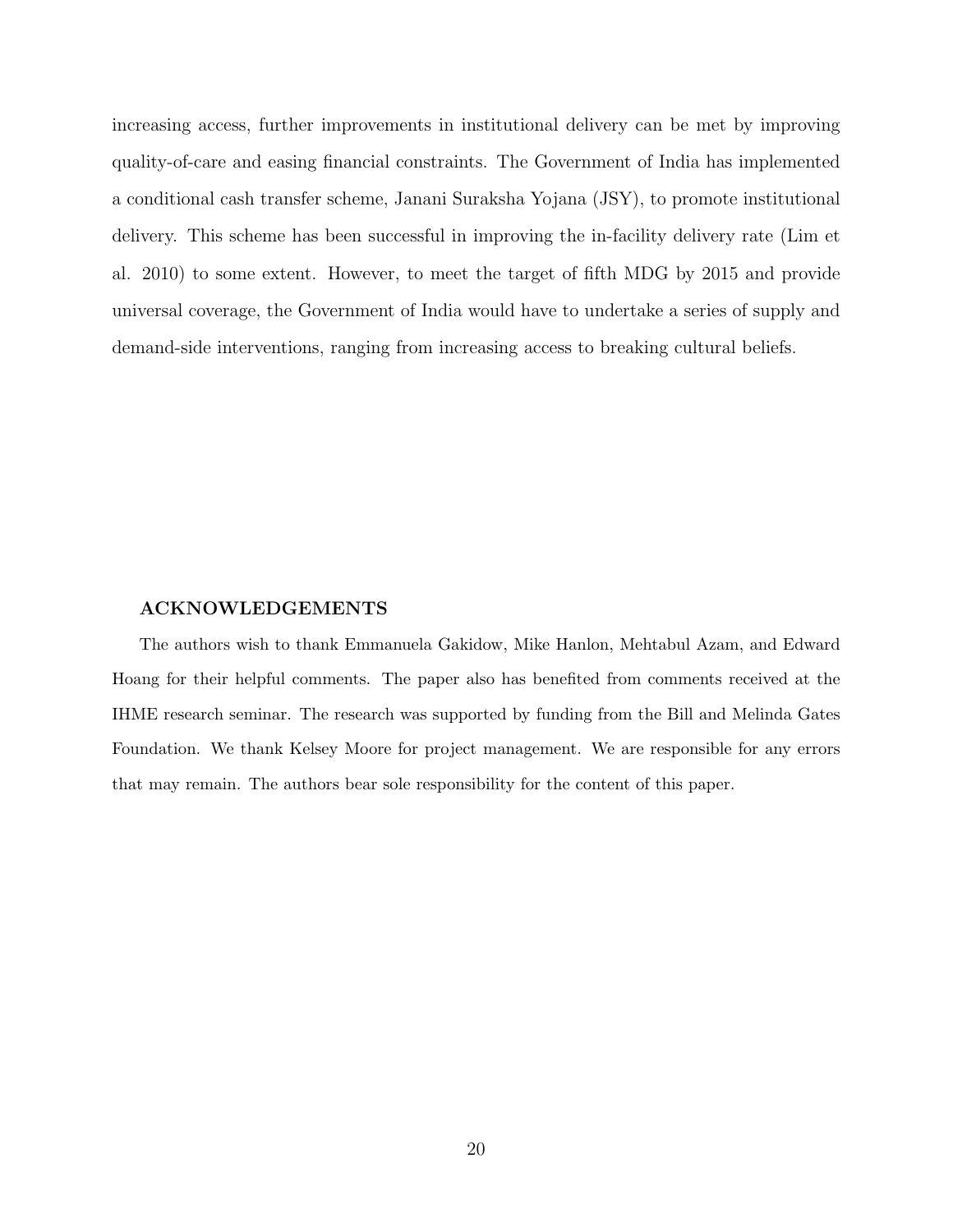increasing access, further improvements in institutional delivery can be met by improving quality-of-care and easing financial constraints. The Government of India has implemented a conditional cash transfer scheme, Janani Suraksha Yojana (JSY), to promote institutional delivery. This scheme has been successful in improving the in-facility delivery rate (Lim et al. 2010) to some extent. However, to meet the target of fifth MDG by 2015 and provide universal coverage, the Government of India would have to undertake a series of supply and demand-side interventions, ranging from increasing access to breaking cultural beliefs.

#### ACKNOWLEDGEMENTS

The authors wish to thank Emmanuela Gakidow, Mike Hanlon, Mehtabul Azam, and Edward Hoang for their helpful comments. The paper also has benefited from comments received at the IHME research seminar. The research was supported by funding from the Bill and Melinda Gates Foundation. We thank Kelsey Moore for project management. We are responsible for any errors that may remain. The authors bear sole responsibility for the content of this paper.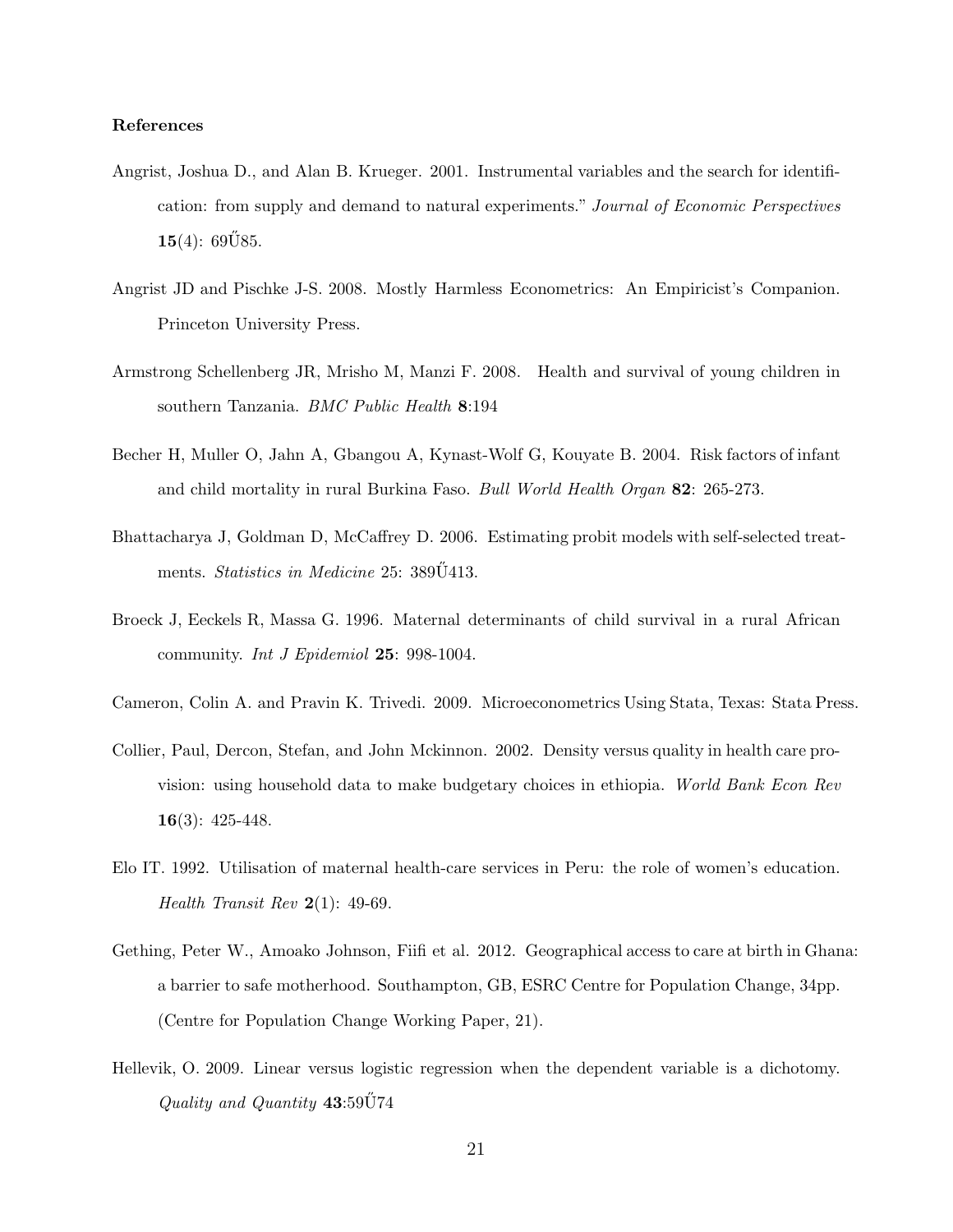#### References

- Angrist, Joshua D., and Alan B. Krueger. 2001. Instrumental variables and the search for identification: from supply and demand to natural experiments." Journal of Economic Perspectives 15(4):  $69\overline{0}85$ .
- Angrist JD and Pischke J-S. 2008. Mostly Harmless Econometrics: An Empiricist's Companion. Princeton University Press.
- Armstrong Schellenberg JR, Mrisho M, Manzi F. 2008. Health and survival of young children in southern Tanzania. BMC Public Health 8:194
- Becher H, Muller O, Jahn A, Gbangou A, Kynast-Wolf G, Kouyate B. 2004. Risk factors of infant and child mortality in rural Burkina Faso. Bull World Health Organ 82: 265-273.
- Bhattacharya J, Goldman D, McCaffrey D. 2006. Estimating probit models with self-selected treatments. Statistics in Medicine 25:  $389\overset{\text{\normalsize{i}}}{0}413$ .
- Broeck J, Eeckels R, Massa G. 1996. Maternal determinants of child survival in a rural African community. Int J Epidemiol 25: 998-1004.
- Cameron, Colin A. and Pravin K. Trivedi. 2009. Microeconometrics Using Stata, Texas: Stata Press.
- Collier, Paul, Dercon, Stefan, and John Mckinnon. 2002. Density versus quality in health care provision: using household data to make budgetary choices in ethiopia. World Bank Econ Rev 16(3):  $425-448$ .
- Elo IT. 1992. Utilisation of maternal health-care services in Peru: the role of women's education. Health Transit Rev  $2(1)$ : 49-69.
- Gething, Peter W., Amoako Johnson, Fiifi et al. 2012. Geographical access to care at birth in Ghana: a barrier to safe motherhood. Southampton, GB, ESRC Centre for Population Change, 34pp. (Centre for Population Change Working Paper, 21).
- Hellevik, O. 2009. Linear versus logistic regression when the dependent variable is a dichotomy. Quality and Quantity  $43:59\overline{0}74$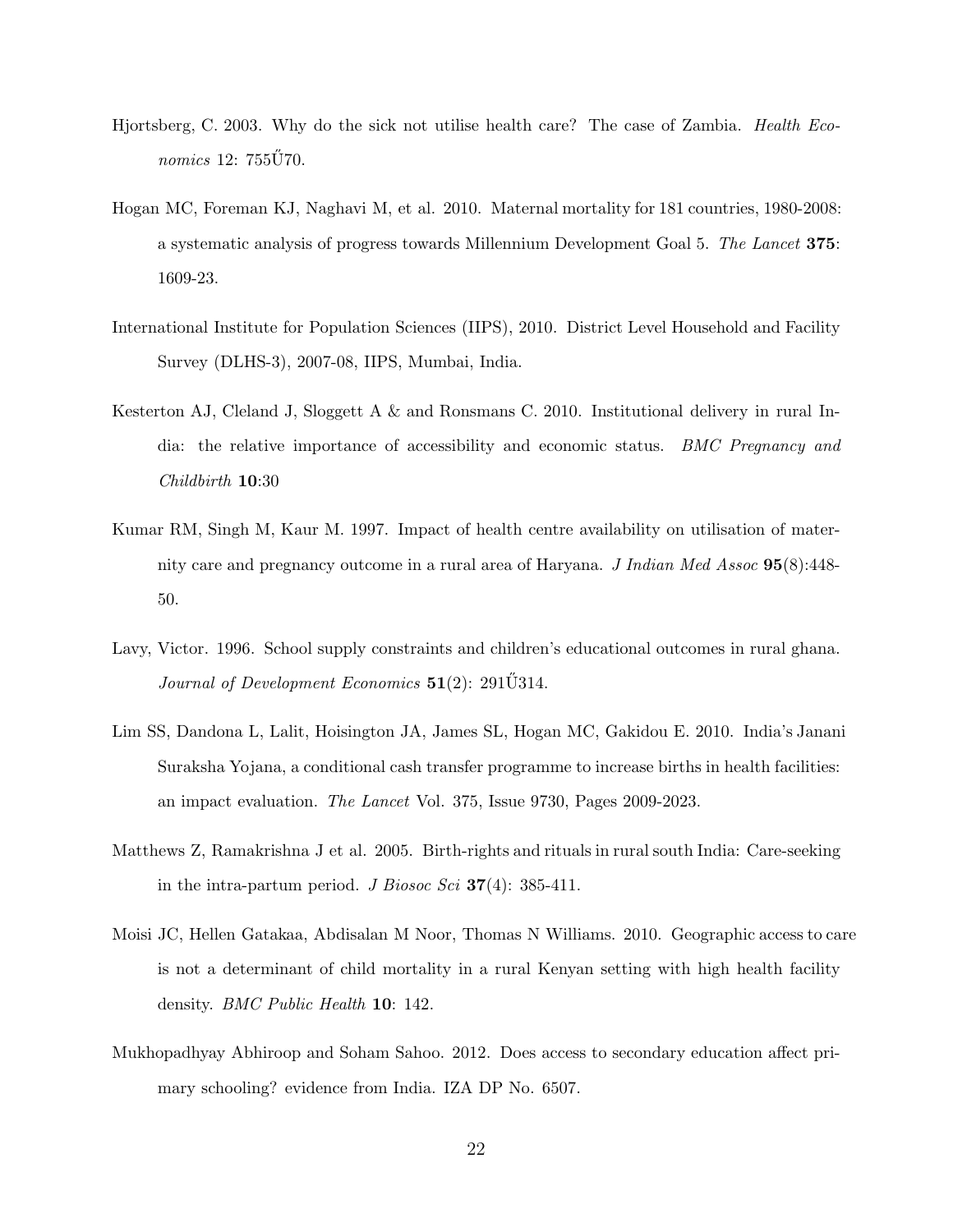- Hjortsberg, C. 2003. Why do the sick not utilise health care? The case of Zambia. Health Economics  $12: 755\check{U}70.$
- Hogan MC, Foreman KJ, Naghavi M, et al. 2010. Maternal mortality for 181 countries, 1980-2008: a systematic analysis of progress towards Millennium Development Goal 5. The Lancet 375: 1609-23.
- International Institute for Population Sciences (IIPS), 2010. District Level Household and Facility Survey (DLHS-3), 2007-08, IIPS, Mumbai, India.
- Kesterton AJ, Cleland J, Sloggett A & and Ronsmans C. 2010. Institutional delivery in rural India: the relative importance of accessibility and economic status. BMC Pregnancy and Childbirth 10:30
- Kumar RM, Singh M, Kaur M. 1997. Impact of health centre availability on utilisation of maternity care and pregnancy outcome in a rural area of Haryana. J Indian Med Assoc 95(8):448- 50.
- Lavy, Victor. 1996. School supply constraints and children's educational outcomes in rural ghana. Journal of Development Economics  $51(2)$ : 291 $\overline{0}314$ .
- Lim SS, Dandona L, Lalit, Hoisington JA, James SL, Hogan MC, Gakidou E. 2010. India's Janani Suraksha Yojana, a conditional cash transfer programme to increase births in health facilities: an impact evaluation. The Lancet Vol. 375, Issue 9730, Pages 2009-2023.
- Matthews Z, Ramakrishna J et al. 2005. Birth-rights and rituals in rural south India: Care-seeking in the intra-partum period. J Biosoc Sci  $37(4)$ : 385-411.
- Moisi JC, Hellen Gatakaa, Abdisalan M Noor, Thomas N Williams. 2010. Geographic access to care is not a determinant of child mortality in a rural Kenyan setting with high health facility density. BMC Public Health 10: 142.
- Mukhopadhyay Abhiroop and Soham Sahoo. 2012. Does access to secondary education affect primary schooling? evidence from India. IZA DP No. 6507.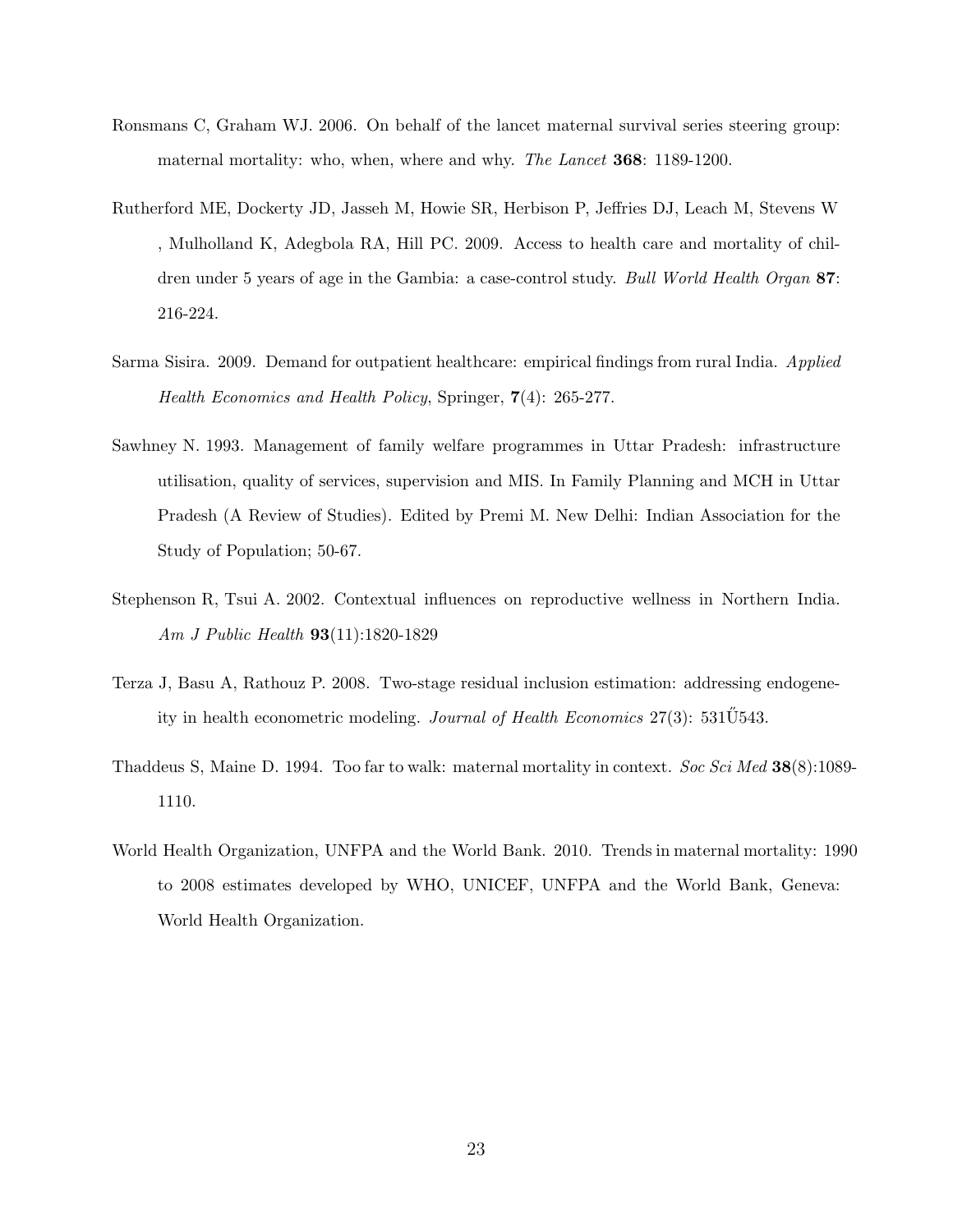- Ronsmans C, Graham WJ. 2006. On behalf of the lancet maternal survival series steering group: maternal mortality: who, when, where and why. The Lancet 368: 1189-1200.
- Rutherford ME, Dockerty JD, Jasseh M, Howie SR, Herbison P, Jeffries DJ, Leach M, Stevens W , Mulholland K, Adegbola RA, Hill PC. 2009. Access to health care and mortality of children under 5 years of age in the Gambia: a case-control study. Bull World Health Organ 87: 216-224.
- Sarma Sisira. 2009. Demand for outpatient healthcare: empirical findings from rural India. Applied Health Economics and Health Policy, Springer, 7(4): 265-277.
- Sawhney N. 1993. Management of family welfare programmes in Uttar Pradesh: infrastructure utilisation, quality of services, supervision and MIS. In Family Planning and MCH in Uttar Pradesh (A Review of Studies). Edited by Premi M. New Delhi: Indian Association for the Study of Population; 50-67.
- Stephenson R, Tsui A. 2002. Contextual influences on reproductive wellness in Northern India. Am J Public Health 93(11):1820-1829
- Terza J, Basu A, Rathouz P. 2008. Two-stage residual inclusion estimation: addressing endogeneity in health econometric modeling. *Journal of Health Economics*  $27(3)$ :  $531\overline{0}543$ .
- Thaddeus S, Maine D. 1994. Too far to walk: maternal mortality in context. Soc Sci Med 38(8):1089- 1110.
- World Health Organization, UNFPA and the World Bank. 2010. Trends in maternal mortality: 1990 to 2008 estimates developed by WHO, UNICEF, UNFPA and the World Bank, Geneva: World Health Organization.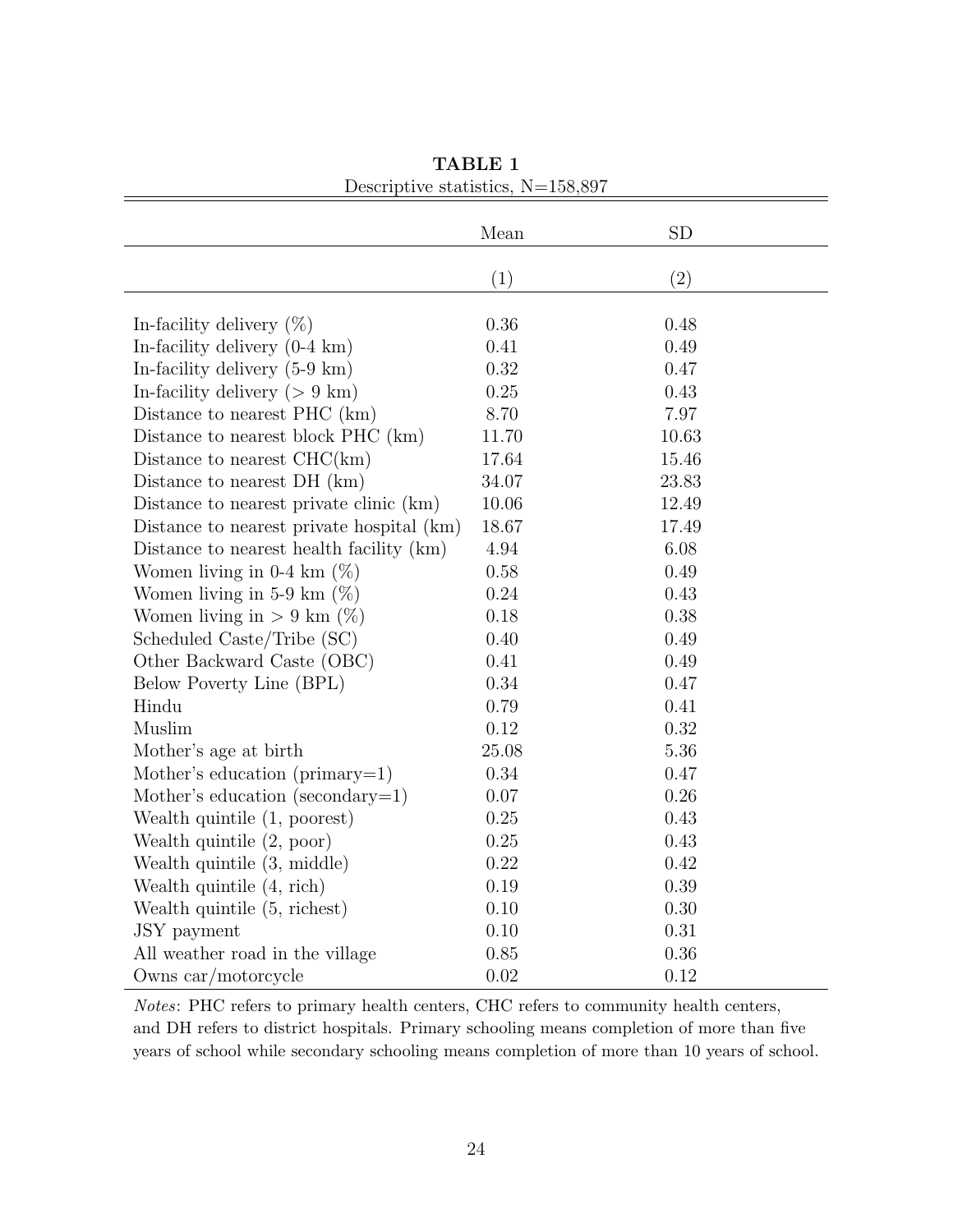| (2)<br>(1)<br>0.36<br>0.48<br>In-facility delivery $(\%)$<br>In-facility delivery $(0-4 \text{ km})$<br>0.41<br>0.49<br>In-facility delivery $(5-9 \text{ km})$<br>0.32<br>0.47<br>In-facility delivery $(> 9 \text{ km})$<br>0.25<br>0.43<br>Distance to nearest PHC (km)<br>8.70<br>7.97<br>Distance to nearest block PHC (km)<br>10.63<br>11.70<br>15.46<br>Distance to nearest $CHC(km)$<br>17.64<br>23.83<br>Distance to nearest DH (km)<br>34.07<br>Distance to nearest private clinic (km)<br>10.06<br>12.49<br>18.67<br>17.49<br>Distance to nearest private hospital (km)<br>4.94<br>6.08<br>Distance to nearest health facility (km)<br>$0.58\,$<br>0.49<br>Women living in 0-4 km $(\%)$<br>$0.24\,$<br>0.43<br>Women living in 5-9 km $(\%)$<br>Women living in $> 9 \text{ km } (\%)$<br>0.18<br>0.38<br>Scheduled Caste/Tribe (SC)<br>0.40<br>0.49<br>0.41<br>0.49<br>Other Backward Caste (OBC)<br>0.34<br>Below Poverty Line (BPL)<br>0.47<br>0.79<br>Hindu<br>0.41<br>0.12<br>0.32<br>Muslim<br>25.08<br>5.36<br>Mother's age at birth<br>Mother's education ( $\text{primary}=1$ )<br>0.34<br>0.47<br>Mother's education (secondary=1)<br>0.07<br>0.26<br>0.43<br>Wealth quintile (1, poorest)<br>0.25<br>0.25<br>Wealth quintile $(2, poor)$<br>0.43<br>0.22<br>Wealth quintile $(3, middle)$<br>0.42<br>Wealth quintile $(4, \text{rich})$<br>0.19<br>0.39<br>Wealth quintile (5, richest)<br>0.10<br>0.30<br>$0.10\,$<br>0.31<br>JSY payment<br>0.36<br>All weather road in the village<br>0.85 | Mean | <b>SD</b> |
|----------------------------------------------------------------------------------------------------------------------------------------------------------------------------------------------------------------------------------------------------------------------------------------------------------------------------------------------------------------------------------------------------------------------------------------------------------------------------------------------------------------------------------------------------------------------------------------------------------------------------------------------------------------------------------------------------------------------------------------------------------------------------------------------------------------------------------------------------------------------------------------------------------------------------------------------------------------------------------------------------------------------------------------------------------------------------------------------------------------------------------------------------------------------------------------------------------------------------------------------------------------------------------------------------------------------------------------------------------------------------------------------------------------------------------------------------------------------------------------------------------------------|------|-----------|
|                                                                                                                                                                                                                                                                                                                                                                                                                                                                                                                                                                                                                                                                                                                                                                                                                                                                                                                                                                                                                                                                                                                                                                                                                                                                                                                                                                                                                                                                                                                      |      |           |
|                                                                                                                                                                                                                                                                                                                                                                                                                                                                                                                                                                                                                                                                                                                                                                                                                                                                                                                                                                                                                                                                                                                                                                                                                                                                                                                                                                                                                                                                                                                      |      |           |
|                                                                                                                                                                                                                                                                                                                                                                                                                                                                                                                                                                                                                                                                                                                                                                                                                                                                                                                                                                                                                                                                                                                                                                                                                                                                                                                                                                                                                                                                                                                      |      |           |
|                                                                                                                                                                                                                                                                                                                                                                                                                                                                                                                                                                                                                                                                                                                                                                                                                                                                                                                                                                                                                                                                                                                                                                                                                                                                                                                                                                                                                                                                                                                      |      |           |
|                                                                                                                                                                                                                                                                                                                                                                                                                                                                                                                                                                                                                                                                                                                                                                                                                                                                                                                                                                                                                                                                                                                                                                                                                                                                                                                                                                                                                                                                                                                      |      |           |
|                                                                                                                                                                                                                                                                                                                                                                                                                                                                                                                                                                                                                                                                                                                                                                                                                                                                                                                                                                                                                                                                                                                                                                                                                                                                                                                                                                                                                                                                                                                      |      |           |
|                                                                                                                                                                                                                                                                                                                                                                                                                                                                                                                                                                                                                                                                                                                                                                                                                                                                                                                                                                                                                                                                                                                                                                                                                                                                                                                                                                                                                                                                                                                      |      |           |
|                                                                                                                                                                                                                                                                                                                                                                                                                                                                                                                                                                                                                                                                                                                                                                                                                                                                                                                                                                                                                                                                                                                                                                                                                                                                                                                                                                                                                                                                                                                      |      |           |
|                                                                                                                                                                                                                                                                                                                                                                                                                                                                                                                                                                                                                                                                                                                                                                                                                                                                                                                                                                                                                                                                                                                                                                                                                                                                                                                                                                                                                                                                                                                      |      |           |
|                                                                                                                                                                                                                                                                                                                                                                                                                                                                                                                                                                                                                                                                                                                                                                                                                                                                                                                                                                                                                                                                                                                                                                                                                                                                                                                                                                                                                                                                                                                      |      |           |
|                                                                                                                                                                                                                                                                                                                                                                                                                                                                                                                                                                                                                                                                                                                                                                                                                                                                                                                                                                                                                                                                                                                                                                                                                                                                                                                                                                                                                                                                                                                      |      |           |
|                                                                                                                                                                                                                                                                                                                                                                                                                                                                                                                                                                                                                                                                                                                                                                                                                                                                                                                                                                                                                                                                                                                                                                                                                                                                                                                                                                                                                                                                                                                      |      |           |
|                                                                                                                                                                                                                                                                                                                                                                                                                                                                                                                                                                                                                                                                                                                                                                                                                                                                                                                                                                                                                                                                                                                                                                                                                                                                                                                                                                                                                                                                                                                      |      |           |
|                                                                                                                                                                                                                                                                                                                                                                                                                                                                                                                                                                                                                                                                                                                                                                                                                                                                                                                                                                                                                                                                                                                                                                                                                                                                                                                                                                                                                                                                                                                      |      |           |
|                                                                                                                                                                                                                                                                                                                                                                                                                                                                                                                                                                                                                                                                                                                                                                                                                                                                                                                                                                                                                                                                                                                                                                                                                                                                                                                                                                                                                                                                                                                      |      |           |
|                                                                                                                                                                                                                                                                                                                                                                                                                                                                                                                                                                                                                                                                                                                                                                                                                                                                                                                                                                                                                                                                                                                                                                                                                                                                                                                                                                                                                                                                                                                      |      |           |
|                                                                                                                                                                                                                                                                                                                                                                                                                                                                                                                                                                                                                                                                                                                                                                                                                                                                                                                                                                                                                                                                                                                                                                                                                                                                                                                                                                                                                                                                                                                      |      |           |
|                                                                                                                                                                                                                                                                                                                                                                                                                                                                                                                                                                                                                                                                                                                                                                                                                                                                                                                                                                                                                                                                                                                                                                                                                                                                                                                                                                                                                                                                                                                      |      |           |
|                                                                                                                                                                                                                                                                                                                                                                                                                                                                                                                                                                                                                                                                                                                                                                                                                                                                                                                                                                                                                                                                                                                                                                                                                                                                                                                                                                                                                                                                                                                      |      |           |
|                                                                                                                                                                                                                                                                                                                                                                                                                                                                                                                                                                                                                                                                                                                                                                                                                                                                                                                                                                                                                                                                                                                                                                                                                                                                                                                                                                                                                                                                                                                      |      |           |
|                                                                                                                                                                                                                                                                                                                                                                                                                                                                                                                                                                                                                                                                                                                                                                                                                                                                                                                                                                                                                                                                                                                                                                                                                                                                                                                                                                                                                                                                                                                      |      |           |
|                                                                                                                                                                                                                                                                                                                                                                                                                                                                                                                                                                                                                                                                                                                                                                                                                                                                                                                                                                                                                                                                                                                                                                                                                                                                                                                                                                                                                                                                                                                      |      |           |
|                                                                                                                                                                                                                                                                                                                                                                                                                                                                                                                                                                                                                                                                                                                                                                                                                                                                                                                                                                                                                                                                                                                                                                                                                                                                                                                                                                                                                                                                                                                      |      |           |
|                                                                                                                                                                                                                                                                                                                                                                                                                                                                                                                                                                                                                                                                                                                                                                                                                                                                                                                                                                                                                                                                                                                                                                                                                                                                                                                                                                                                                                                                                                                      |      |           |
|                                                                                                                                                                                                                                                                                                                                                                                                                                                                                                                                                                                                                                                                                                                                                                                                                                                                                                                                                                                                                                                                                                                                                                                                                                                                                                                                                                                                                                                                                                                      |      |           |
|                                                                                                                                                                                                                                                                                                                                                                                                                                                                                                                                                                                                                                                                                                                                                                                                                                                                                                                                                                                                                                                                                                                                                                                                                                                                                                                                                                                                                                                                                                                      |      |           |
|                                                                                                                                                                                                                                                                                                                                                                                                                                                                                                                                                                                                                                                                                                                                                                                                                                                                                                                                                                                                                                                                                                                                                                                                                                                                                                                                                                                                                                                                                                                      |      |           |
|                                                                                                                                                                                                                                                                                                                                                                                                                                                                                                                                                                                                                                                                                                                                                                                                                                                                                                                                                                                                                                                                                                                                                                                                                                                                                                                                                                                                                                                                                                                      |      |           |
|                                                                                                                                                                                                                                                                                                                                                                                                                                                                                                                                                                                                                                                                                                                                                                                                                                                                                                                                                                                                                                                                                                                                                                                                                                                                                                                                                                                                                                                                                                                      |      |           |
|                                                                                                                                                                                                                                                                                                                                                                                                                                                                                                                                                                                                                                                                                                                                                                                                                                                                                                                                                                                                                                                                                                                                                                                                                                                                                                                                                                                                                                                                                                                      |      |           |
|                                                                                                                                                                                                                                                                                                                                                                                                                                                                                                                                                                                                                                                                                                                                                                                                                                                                                                                                                                                                                                                                                                                                                                                                                                                                                                                                                                                                                                                                                                                      |      |           |
| Owns car/motorcycle<br>0.02<br>0.12                                                                                                                                                                                                                                                                                                                                                                                                                                                                                                                                                                                                                                                                                                                                                                                                                                                                                                                                                                                                                                                                                                                                                                                                                                                                                                                                                                                                                                                                                  |      |           |

TABLE 1 Descriptive statistics, N=158,897

Notes: PHC refers to primary health centers, CHC refers to community health centers, and DH refers to district hospitals. Primary schooling means completion of more than five years of school while secondary schooling means completion of more than 10 years of school.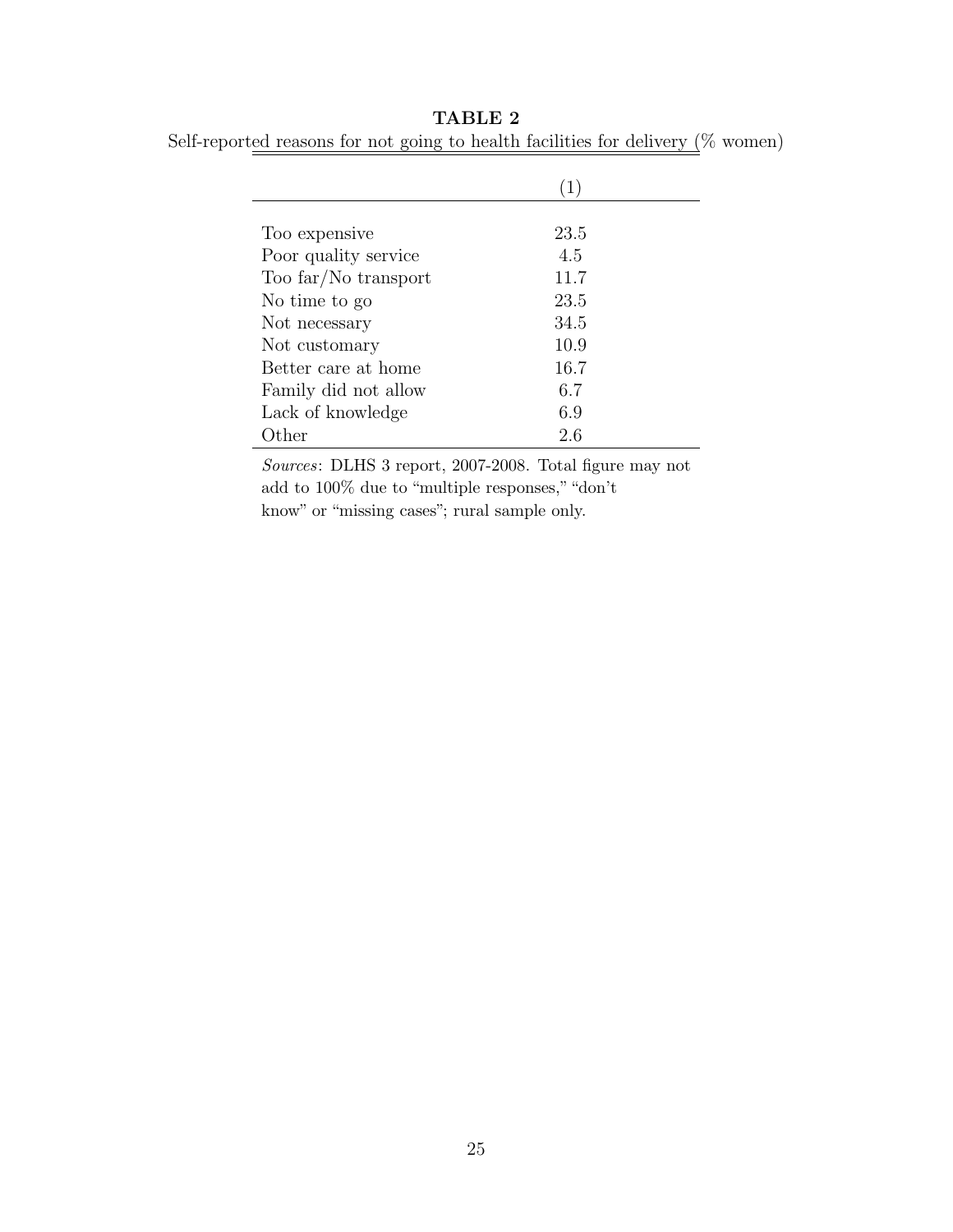| Too expensive        | 23.5 |  |
|----------------------|------|--|
| Poor quality service | 4.5  |  |
| Too far/No transport | 11.7 |  |
| No time to go        | 23.5 |  |
| Not necessary        | 34.5 |  |
| Not customary        | 10.9 |  |
| Better care at home  | 16.7 |  |
| Family did not allow | 6.7  |  |
| Lack of knowledge    | 6.9  |  |
| ther                 | 26   |  |

TABLE 2 Self-reported reasons for not going to health facilities for delivery (% women)

Sources: DLHS 3 report, 2007-2008. Total figure may not add to 100% due to "multiple responses,""don't know" or "missing cases"; rural sample only.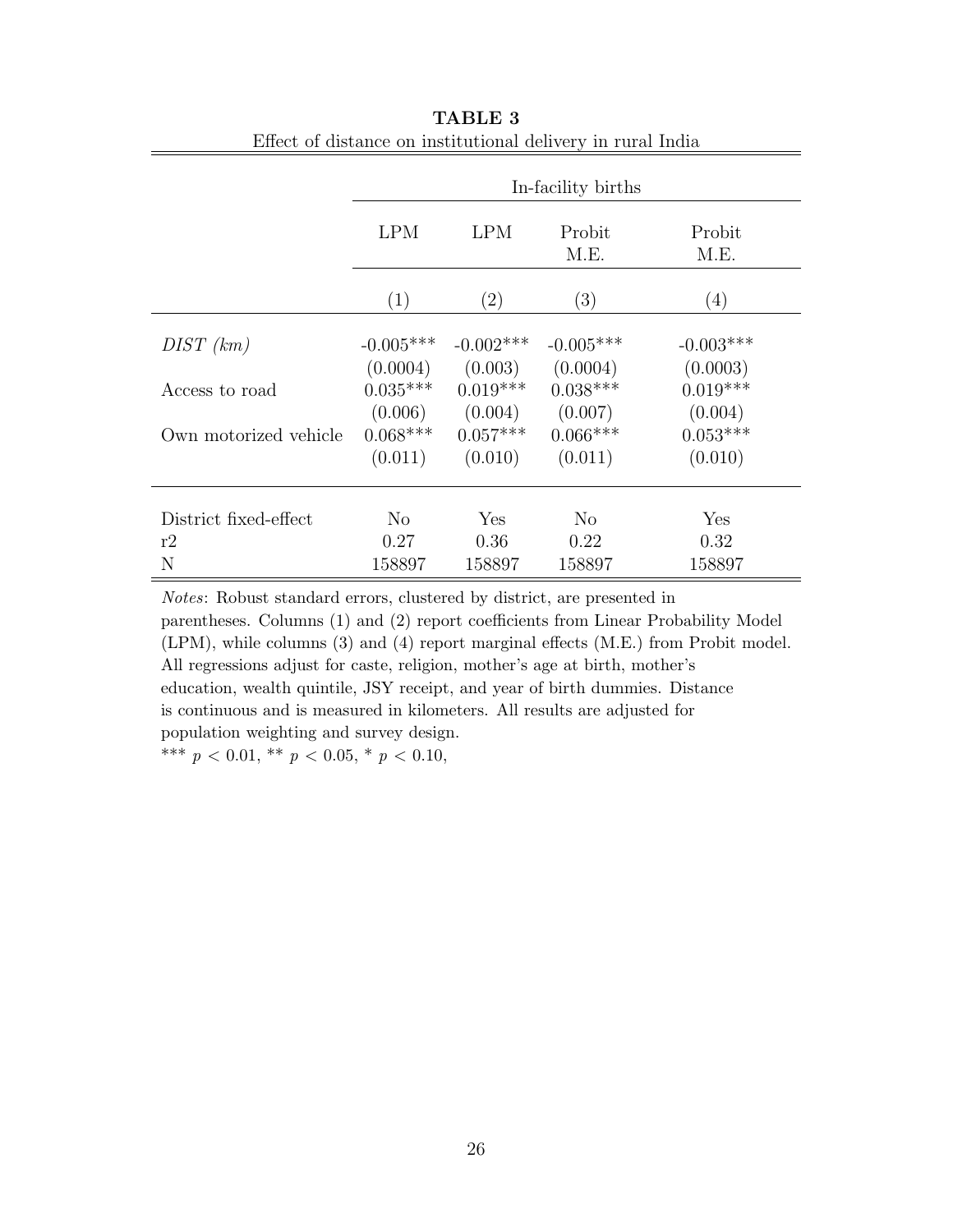|                       | In-facility births                  |                                             |                        |                        |
|-----------------------|-------------------------------------|---------------------------------------------|------------------------|------------------------|
|                       | <b>LPM</b><br>LPM<br>Probit<br>M.E. |                                             | Probit<br>M.E.         |                        |
|                       | (1)                                 | $\left( 2\right)$                           | (3)                    | (4)                    |
| DIST(km)              | $-0.005***$                         | $-0.002***$                                 | $-0.005***$            | $-0.003***$            |
| Access to road        | $0.035***$                          | $(0.0004)$ $(0.003)$<br>$0.019***$          | (0.0004)<br>$0.038***$ | (0.0003)<br>$0.019***$ |
| Own motorized vehicle | $0.068***$                          | $(0.006)$ $(0.004)$ $(0.007)$<br>$0.057***$ | $0.066***$             | (0.004)<br>$0.053***$  |
|                       | (0.011)                             | (0.010)                                     | (0.011)                | (0.010)                |
| District fixed-effect | $\rm No$                            | Yes                                         | N <sub>o</sub>         | Yes                    |
| r2                    | 0.27                                | 0.36                                        | 0.22                   | 0.32                   |
| N                     | 158897                              | 158897                                      | 158897                 | 158897                 |

|                                                             | <b>TABLE 3</b> |  |
|-------------------------------------------------------------|----------------|--|
| Effect of distance on institutional delivery in rural India |                |  |

Notes: Robust standard errors, clustered by district, are presented in parentheses. Columns (1) and (2) report coefficients from Linear Probability Model (LPM), while columns (3) and (4) report marginal effects (M.E.) from Probit model. All regressions adjust for caste, religion, mother's age at birth, mother's education, wealth quintile, JSY receipt, and year of birth dummies. Distance is continuous and is measured in kilometers. All results are adjusted for population weighting and survey design. \*\*\*  $p < 0.01$ , \*\*  $p < 0.05$ , \*  $p < 0.10$ ,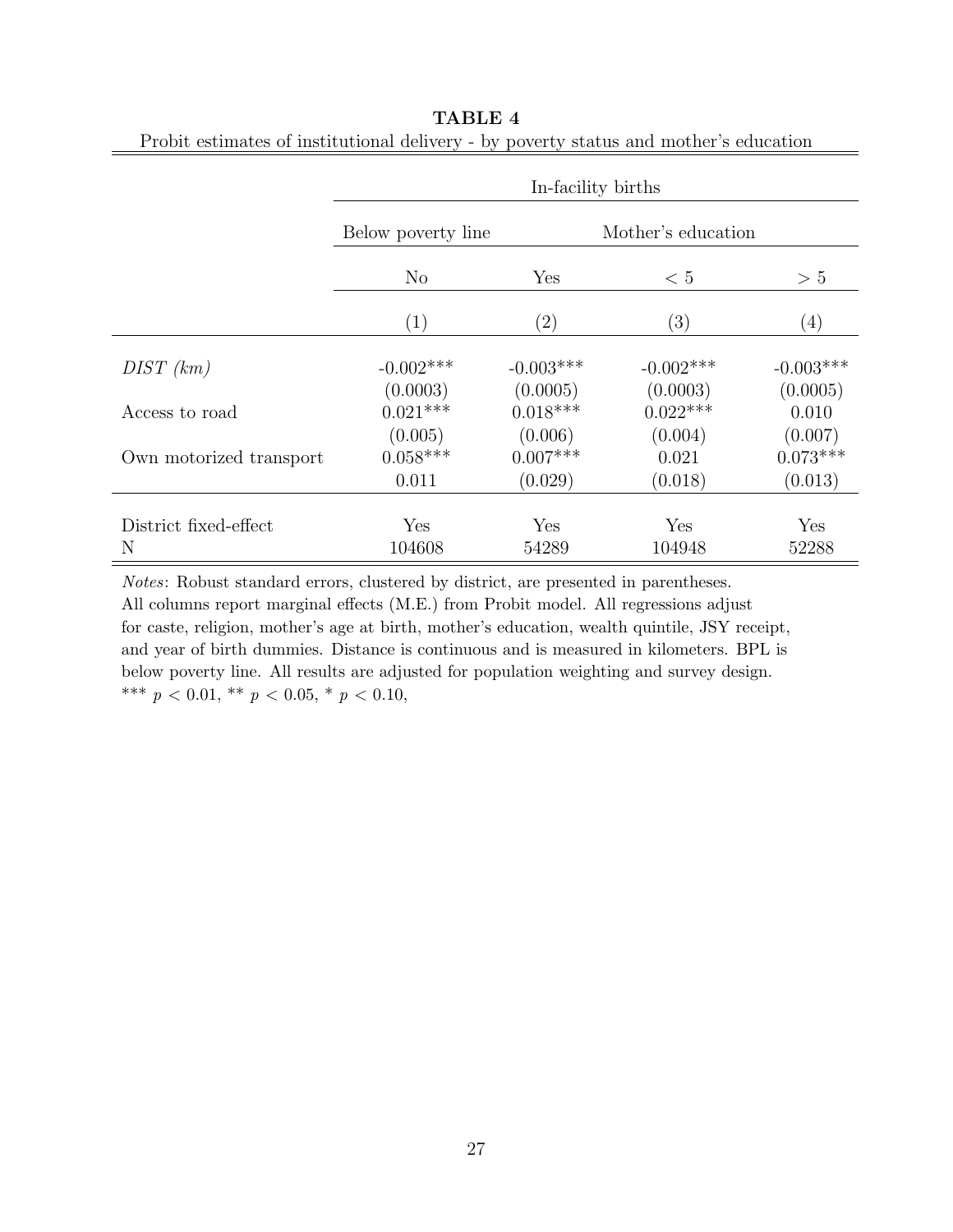|                         | In-facility births |             |                    |                   |
|-------------------------|--------------------|-------------|--------------------|-------------------|
|                         | Below poverty line |             | Mother's education |                   |
|                         | N <sub>o</sub>     | Yes         | < 5                | > 5               |
|                         | (1)                | (2)         | (3)                | $\left( 4\right)$ |
| DIST(km)                | $-0.002***$        | $-0.003***$ | $-0.002***$        | $-0.003***$       |
|                         | (0.0003)           | (0.0005)    | (0.0003)           | (0.0005)          |
| Access to road          | $0.021***$         | $0.018***$  | $0.022***$         | 0.010             |
|                         | (0.005)            | (0.006)     | (0.004)            | (0.007)           |
| Own motorized transport | $0.058***$         | $0.007***$  | 0.021              | $0.073***$        |
|                         | 0.011              | (0.029)     | (0.018)            | (0.013)           |
|                         |                    |             |                    |                   |
| District fixed-effect   | Yes                | Yes         | Yes                | Yes               |
| Ν                       | 104608             | 54289       | 104948             | 52288             |

TABLE 4 Probit estimates of institutional delivery - by poverty status and mother's education

Notes: Robust standard errors, clustered by district, are presented in parentheses. All columns report marginal effects (M.E.) from Probit model. All regressions adjust for caste, religion, mother's age at birth, mother's education, wealth quintile, JSY receipt, and year of birth dummies. Distance is continuous and is measured in kilometers. BPL is below poverty line. All results are adjusted for population weighting and survey design. \*\*\*  $p < 0.01$ , \*\*  $p < 0.05$ , \*  $p < 0.10$ ,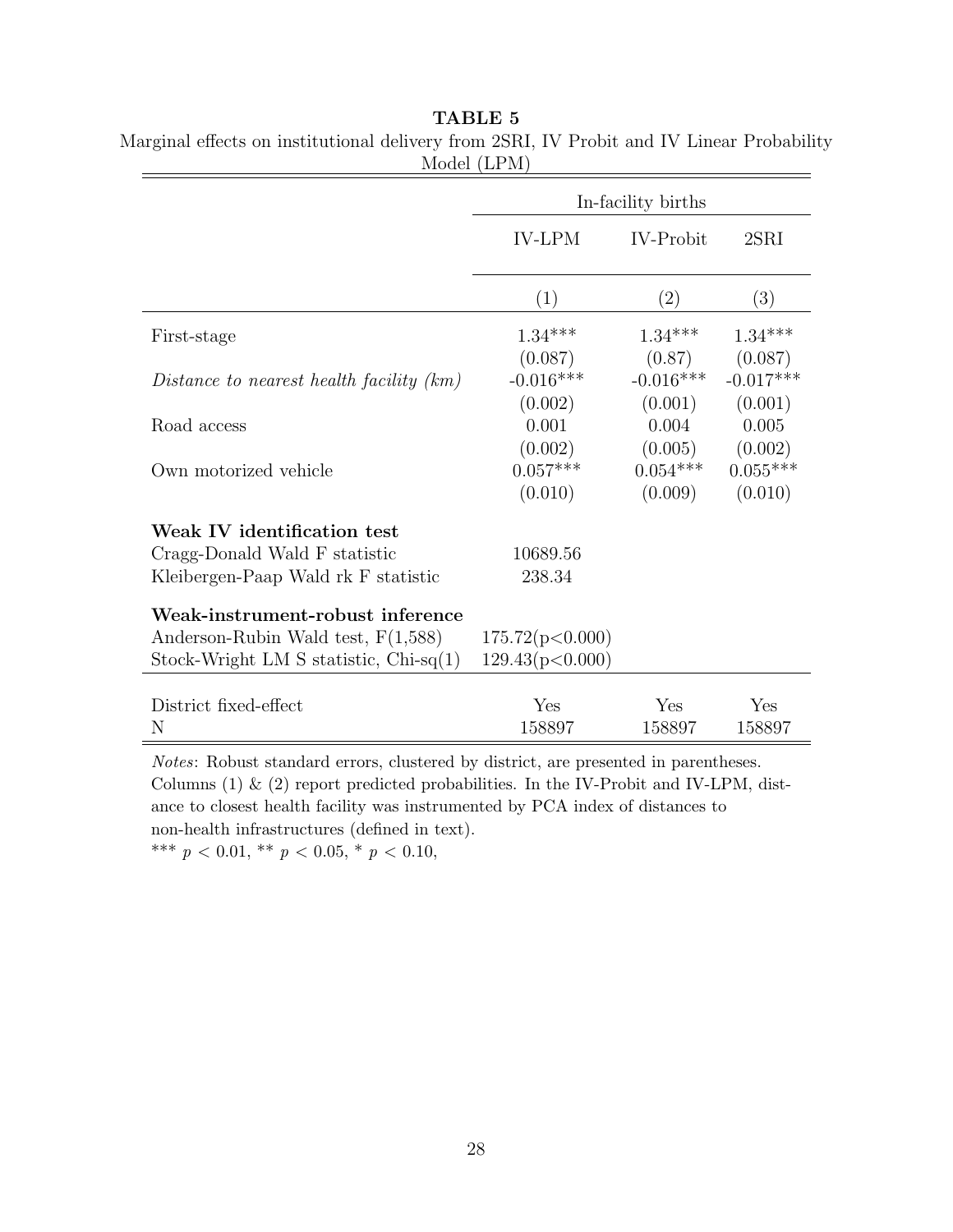|                                                                                                                             | In-facility births                 |                                  |                                   |
|-----------------------------------------------------------------------------------------------------------------------------|------------------------------------|----------------------------------|-----------------------------------|
|                                                                                                                             | <b>IV-LPM</b>                      | <b>IV-Probit</b>                 | 2SRI                              |
|                                                                                                                             | (1)                                | (2)                              | (3)                               |
| First-stage                                                                                                                 | $1.34***$                          | $1.34***$                        | $1.34***$                         |
| Distance to nearest health facility $(km)$                                                                                  | (0.087)<br>$-0.016***$<br>(0.002)  | (0.87)<br>$-0.016***$<br>(0.001) | (0.087)<br>$-0.017***$<br>(0.001) |
| Road access                                                                                                                 | 0.001                              | 0.004                            | 0.005                             |
| Own motorized vehicle                                                                                                       | (0.002)<br>$0.057***$<br>(0.010)   | (0.005)<br>$0.054***$<br>(0.009) | (0.002)<br>$0.055***$<br>(0.010)  |
| Weak IV identification test<br>Cragg-Donald Wald F statistic<br>Kleibergen-Paap Wald rk F statistic                         | 10689.56<br>238.34                 |                                  |                                   |
| Weak-instrument-robust inference<br>Anderson-Rubin Wald test, $F(1,588)$<br>Stock-Wright LM S statistic, $Chi\text{-}sq(1)$ | 175.72(p<0.000)<br>129.43(p<0.000) |                                  |                                   |
| District fixed-effect<br>N                                                                                                  | Yes<br>158897                      | Yes<br>158897                    | Yes<br>158897                     |

TABLE 5 Marginal effects on institutional delivery from 2SRI, IV Probit and IV Linear Probability Model (LPM)

Notes: Robust standard errors, clustered by district, are presented in parentheses. Columns  $(1)$  &  $(2)$  report predicted probabilities. In the IV-Probit and IV-LPM, distance to closest health facility was instrumented by PCA index of distances to non-health infrastructures (defined in text).

\*\*\*  $p < 0.01$ , \*\*  $p < 0.05$ , \*  $p < 0.10$ ,